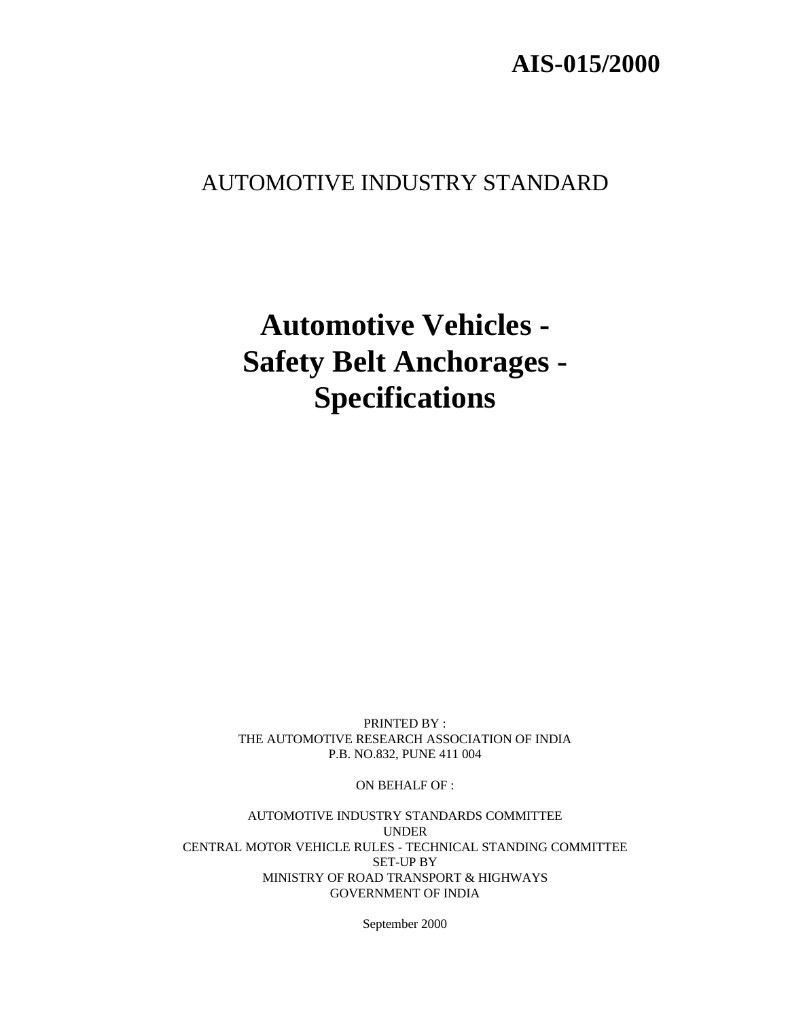# **AIS-015/2000**

# AUTOMOTIVE INDUSTRY STANDARD

# **Automotive Vehicles - Safety Belt Anchorages - Specifications**

PRINTED BY : THE AUTOMOTIVE RESEARCH ASSOCIATION OF INDIA P.B. NO.832, PUNE 411 004

ON BEHALF OF :

AUTOMOTIVE INDUSTRY STANDARDS COMMITTEE UNDER CENTRAL MOTOR VEHICLE RULES - TECHNICAL STANDING COMMITTEE SET-UP BY MINISTRY OF ROAD TRANSPORT & HIGHWAYS GOVERNMENT OF INDIA

September 2000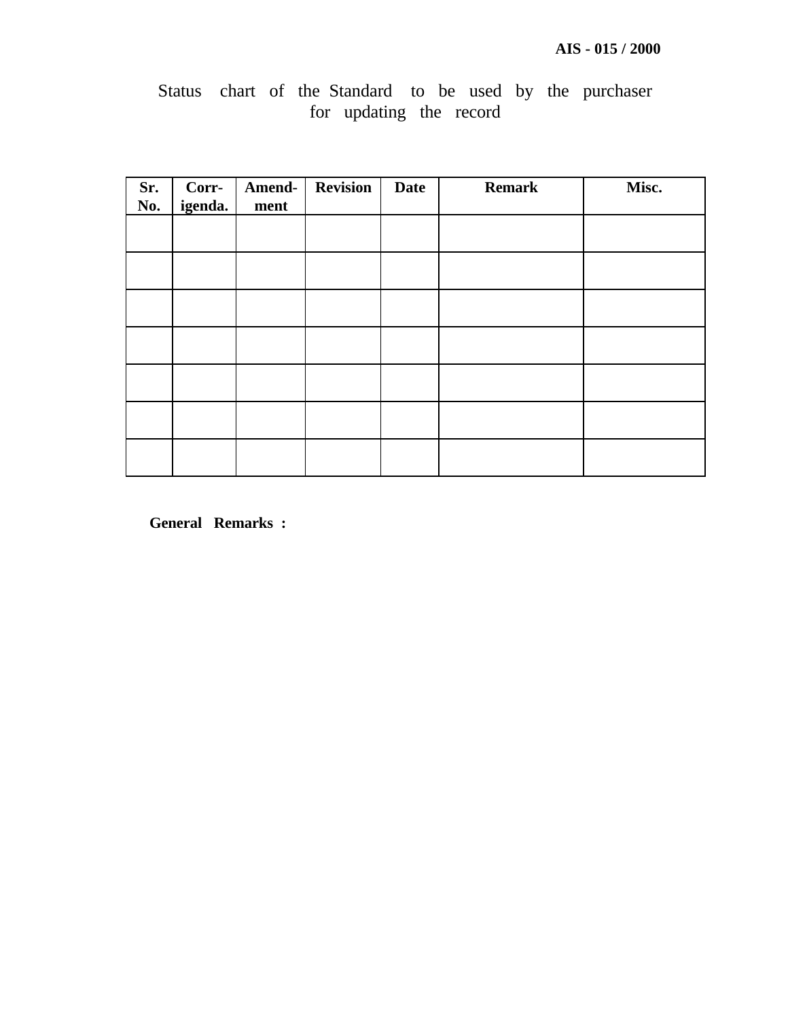# Status chart of the Standard to be used by the purchaser for updating the record

| Sr.<br>No. | Corr-<br>igenda. | Amend-<br>ment | <b>Revision</b> | <b>Date</b> | <b>Remark</b> | Misc. |
|------------|------------------|----------------|-----------------|-------------|---------------|-------|
|            |                  |                |                 |             |               |       |
|            |                  |                |                 |             |               |       |
|            |                  |                |                 |             |               |       |
|            |                  |                |                 |             |               |       |
|            |                  |                |                 |             |               |       |
|            |                  |                |                 |             |               |       |
|            |                  |                |                 |             |               |       |

**General Remarks :**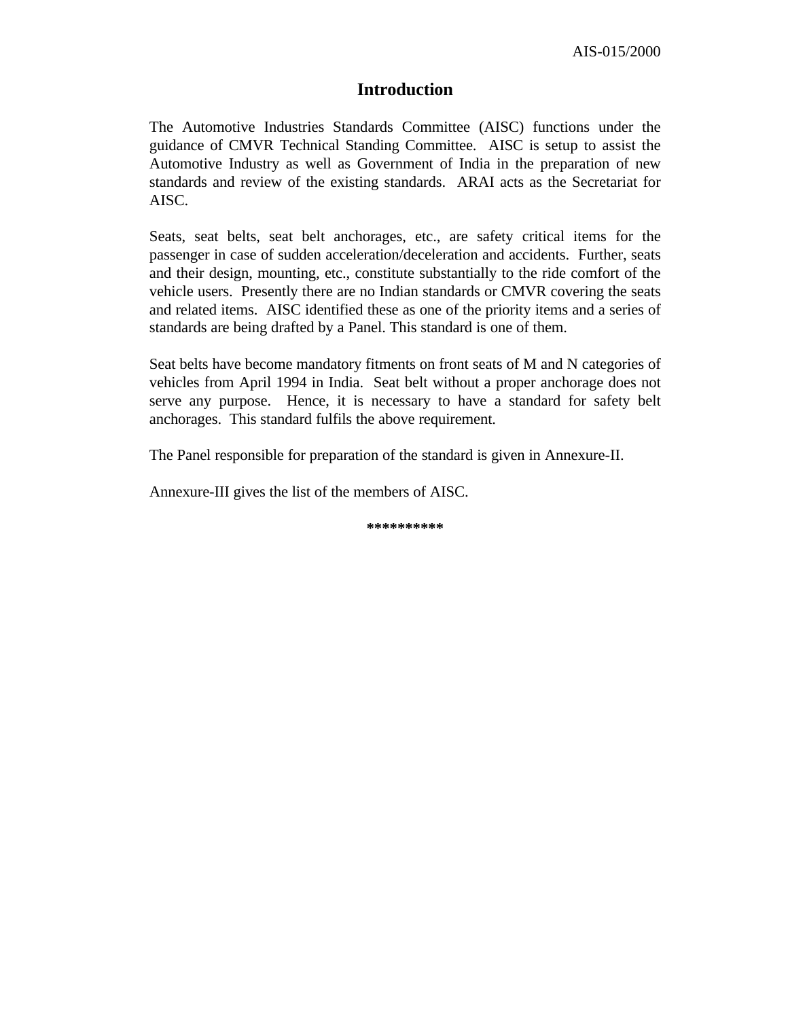### **Introduction**

The Automotive Industries Standards Committee (AISC) functions under the guidance of CMVR Technical Standing Committee. AISC is setup to assist the Automotive Industry as well as Government of India in the preparation of new standards and review of the existing standards. ARAI acts as the Secretariat for AISC.

Seats, seat belts, seat belt anchorages, etc., are safety critical items for the passenger in case of sudden acceleration/deceleration and accidents. Further, seats and their design, mounting, etc., constitute substantially to the ride comfort of the vehicle users. Presently there are no Indian standards or CMVR covering the seats and related items. AISC identified these as one of the priority items and a series of standards are being drafted by a Panel. This standard is one of them.

Seat belts have become mandatory fitments on front seats of M and N categories of vehicles from April 1994 in India. Seat belt without a proper anchorage does not serve any purpose. Hence, it is necessary to have a standard for safety belt anchorages. This standard fulfils the above requirement.

The Panel responsible for preparation of the standard is given in Annexure-II.

Annexure-III gives the list of the members of AISC.

**\*\*\*\*\*\*\*\*\*\***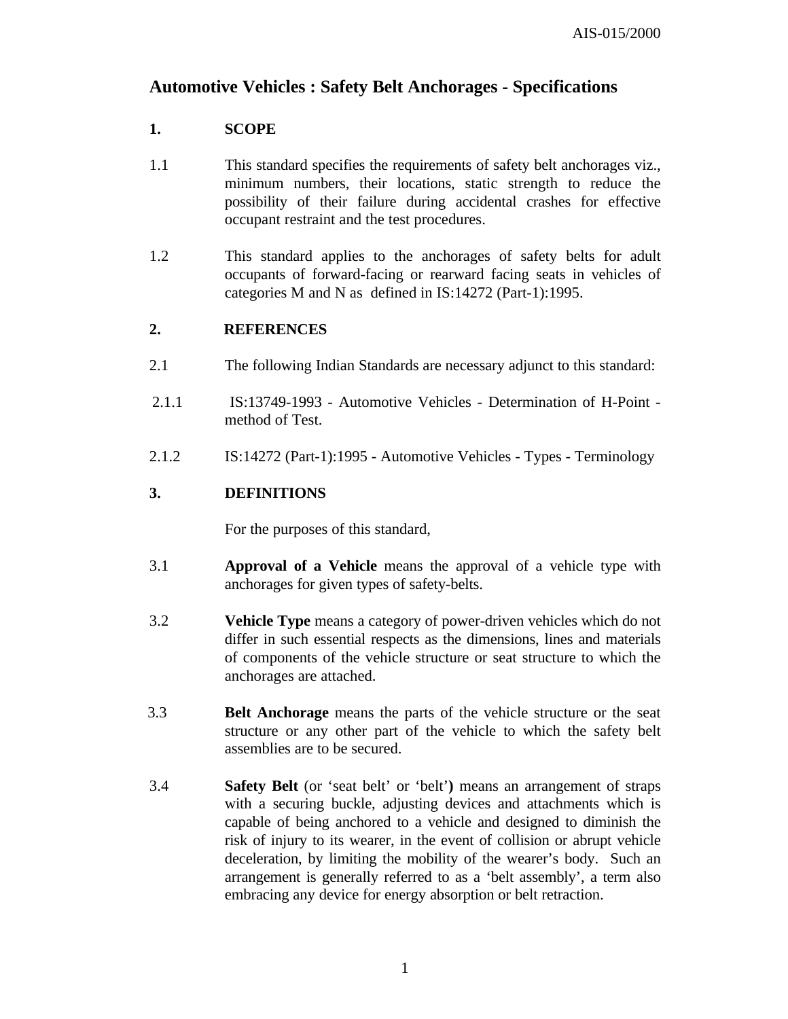## **Automotive Vehicles : Safety Belt Anchorages - Specifications**

#### **1. SCOPE**

- 1.1 This standard specifies the requirements of safety belt anchorages viz., minimum numbers, their locations, static strength to reduce the possibility of their failure during accidental crashes for effective occupant restraint and the test procedures.
- 1.2 This standard applies to the anchorages of safety belts for adult occupants of forward-facing or rearward facing seats in vehicles of categories M and N as defined in IS:14272 (Part-1):1995.

#### **2. REFERENCES**

- 2.1 The following Indian Standards are necessary adjunct to this standard:
- 2.1.1 IS:13749-1993 Automotive Vehicles Determination of H-Point method of Test.
- 2.1.2 IS:14272 (Part-1):1995 Automotive Vehicles Types Terminology

#### **3. DEFINITIONS**

For the purposes of this standard,

- 3.1 **Approval of a Vehicle** means the approval of a vehicle type with anchorages for given types of safety-belts.
- 3.2 **Vehicle Type** means a category of power-driven vehicles which do not differ in such essential respects as the dimensions, lines and materials of components of the vehicle structure or seat structure to which the anchorages are attached.
- 3.3 **Belt Anchorage** means the parts of the vehicle structure or the seat structure or any other part of the vehicle to which the safety belt assemblies are to be secured.
- 3.4 **Safety Belt** (or 'seat belt' or 'belt'**)** means an arrangement of straps with a securing buckle, adjusting devices and attachments which is capable of being anchored to a vehicle and designed to diminish the risk of injury to its wearer, in the event of collision or abrupt vehicle deceleration, by limiting the mobility of the wearer's body. Such an arrangement is generally referred to as a 'belt assembly', a term also embracing any device for energy absorption or belt retraction.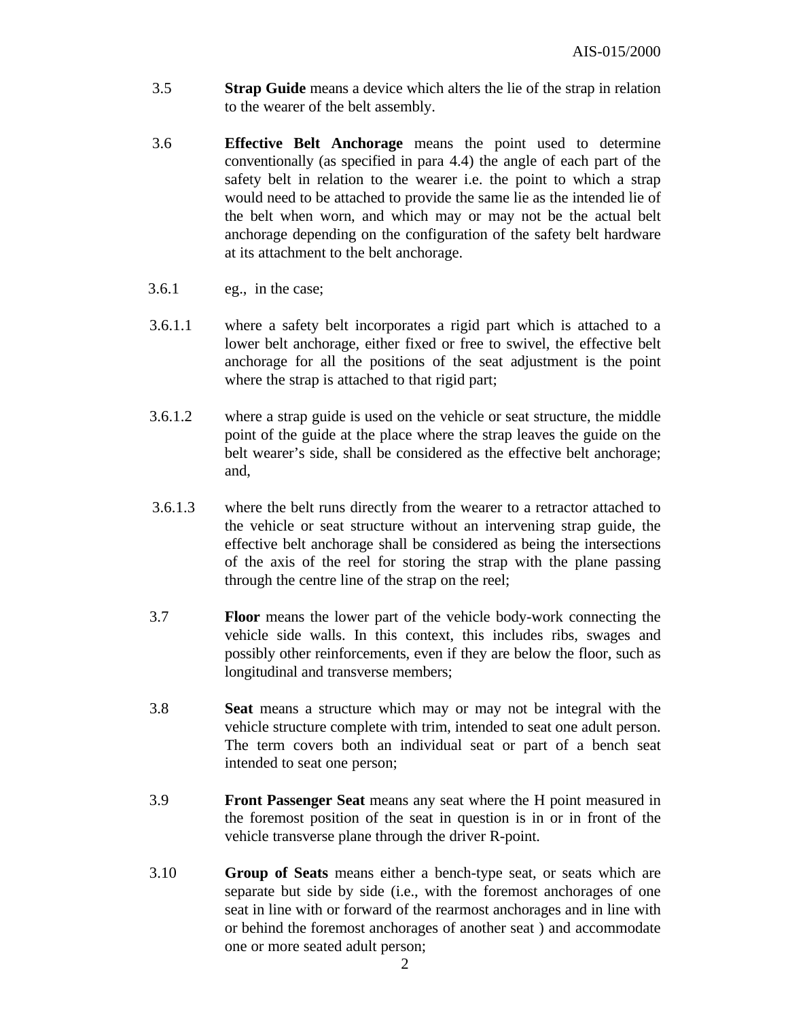- 3.5 **Strap Guide** means a device which alters the lie of the strap in relation to the wearer of the belt assembly.
- 3.6 **Effective Belt Anchorage** means the point used to determine conventionally (as specified in para 4.4) the angle of each part of the safety belt in relation to the wearer i.e. the point to which a strap would need to be attached to provide the same lie as the intended lie of the belt when worn, and which may or may not be the actual belt anchorage depending on the configuration of the safety belt hardware at its attachment to the belt anchorage.
- 3.6.1 eg., in the case;
- 3.6.1.1 where a safety belt incorporates a rigid part which is attached to a lower belt anchorage, either fixed or free to swivel, the effective belt anchorage for all the positions of the seat adjustment is the point where the strap is attached to that rigid part;
- 3.6.1.2 where a strap guide is used on the vehicle or seat structure, the middle point of the guide at the place where the strap leaves the guide on the belt wearer's side, shall be considered as the effective belt anchorage; and,
- 3.6.1.3 where the belt runs directly from the wearer to a retractor attached to the vehicle or seat structure without an intervening strap guide, the effective belt anchorage shall be considered as being the intersections of the axis of the reel for storing the strap with the plane passing through the centre line of the strap on the reel;
- 3.7 **Floor** means the lower part of the vehicle body-work connecting the vehicle side walls. In this context, this includes ribs, swages and possibly other reinforcements, even if they are below the floor, such as longitudinal and transverse members;
- 3.8 **Seat** means a structure which may or may not be integral with the vehicle structure complete with trim, intended to seat one adult person. The term covers both an individual seat or part of a bench seat intended to seat one person;
- 3.9 **Front Passenger Seat** means any seat where the H point measured in the foremost position of the seat in question is in or in front of the vehicle transverse plane through the driver R-point.
- 3.10 **Group of Seats** means either a bench-type seat, or seats which are separate but side by side (i.e., with the foremost anchorages of one seat in line with or forward of the rearmost anchorages and in line with or behind the foremost anchorages of another seat ) and accommodate one or more seated adult person;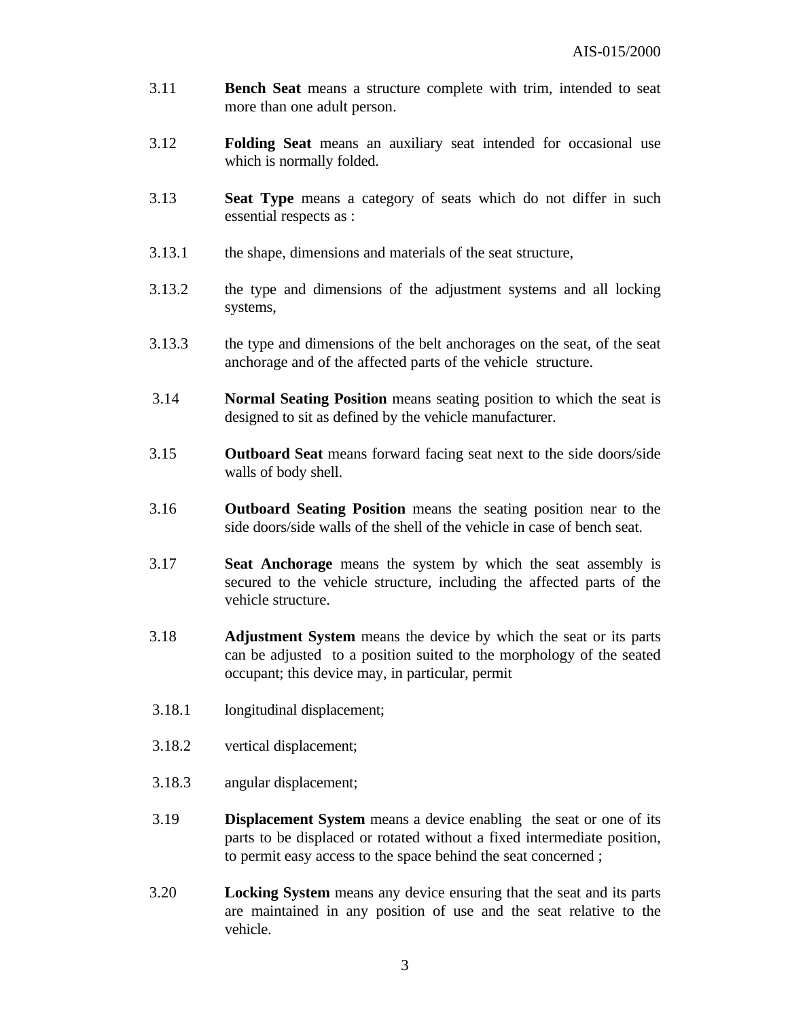- 3.11 **Bench Seat** means a structure complete with trim, intended to seat more than one adult person.
- 3.12 **Folding Seat** means an auxiliary seat intended for occasional use which is normally folded.
- 3.13 **Seat Type** means a category of seats which do not differ in such essential respects as :
- 3.13.1 the shape, dimensions and materials of the seat structure,
- 3.13.2 the type and dimensions of the adjustment systems and all locking systems,
- 3.13.3 the type and dimensions of the belt anchorages on the seat, of the seat anchorage and of the affected parts of the vehicle structure.
- 3.14 **Normal Seating Position** means seating position to which the seat is designed to sit as defined by the vehicle manufacturer.
- 3.15 **Outboard Seat** means forward facing seat next to the side doors/side walls of body shell.
- 3.16 **Outboard Seating Position** means the seating position near to the side doors/side walls of the shell of the vehicle in case of bench seat.
- 3.17 **Seat Anchorage** means the system by which the seat assembly is secured to the vehicle structure, including the affected parts of the vehicle structure.
- 3.18 **Adjustment System** means the device by which the seat or its parts can be adjusted to a position suited to the morphology of the seated occupant; this device may, in particular, permit
- 3.18.1 longitudinal displacement;
- 3.18.2 vertical displacement;
- 3.18.3 angular displacement;
- 3.19 **Displacement System** means a device enabling the seat or one of its parts to be displaced or rotated without a fixed intermediate position, to permit easy access to the space behind the seat concerned ;
- 3.20 **Locking System** means any device ensuring that the seat and its parts are maintained in any position of use and the seat relative to the vehicle.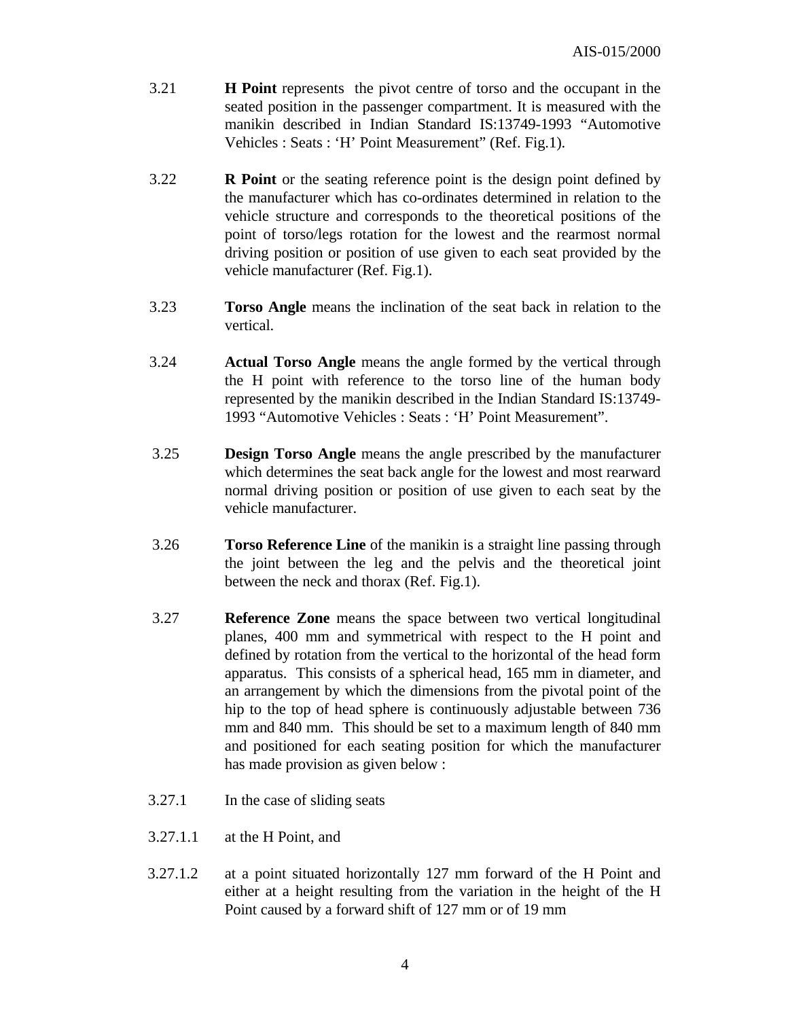- 3.21 **H Point** represents the pivot centre of torso and the occupant in the seated position in the passenger compartment. It is measured with the manikin described in Indian Standard IS:13749-1993 "Automotive Vehicles : Seats : 'H' Point Measurement" (Ref. Fig.1).
- 3.22 **R Point** or the seating reference point is the design point defined by the manufacturer which has co-ordinates determined in relation to the vehicle structure and corresponds to the theoretical positions of the point of torso/legs rotation for the lowest and the rearmost normal driving position or position of use given to each seat provided by the vehicle manufacturer (Ref. Fig.1).
- 3.23 **Torso Angle** means the inclination of the seat back in relation to the vertical.
- 3.24 **Actual Torso Angle** means the angle formed by the vertical through the H point with reference to the torso line of the human body represented by the manikin described in the Indian Standard IS:13749- 1993 "Automotive Vehicles : Seats : 'H' Point Measurement".
- 3.25 **Design Torso Angle** means the angle prescribed by the manufacturer which determines the seat back angle for the lowest and most rearward normal driving position or position of use given to each seat by the vehicle manufacturer.
- 3.26 **Torso Reference Line** of the manikin is a straight line passing through the joint between the leg and the pelvis and the theoretical joint between the neck and thorax (Ref. Fig.1).
- 3.27 **Reference Zone** means the space between two vertical longitudinal planes, 400 mm and symmetrical with respect to the H point and defined by rotation from the vertical to the horizontal of the head form apparatus. This consists of a spherical head, 165 mm in diameter, and an arrangement by which the dimensions from the pivotal point of the hip to the top of head sphere is continuously adjustable between 736 mm and 840 mm. This should be set to a maximum length of 840 mm and positioned for each seating position for which the manufacturer has made provision as given below :
- 3.27.1 In the case of sliding seats
- 3.27.1.1 at the H Point, and
- 3.27.1.2 at a point situated horizontally 127 mm forward of the H Point and either at a height resulting from the variation in the height of the H Point caused by a forward shift of 127 mm or of 19 mm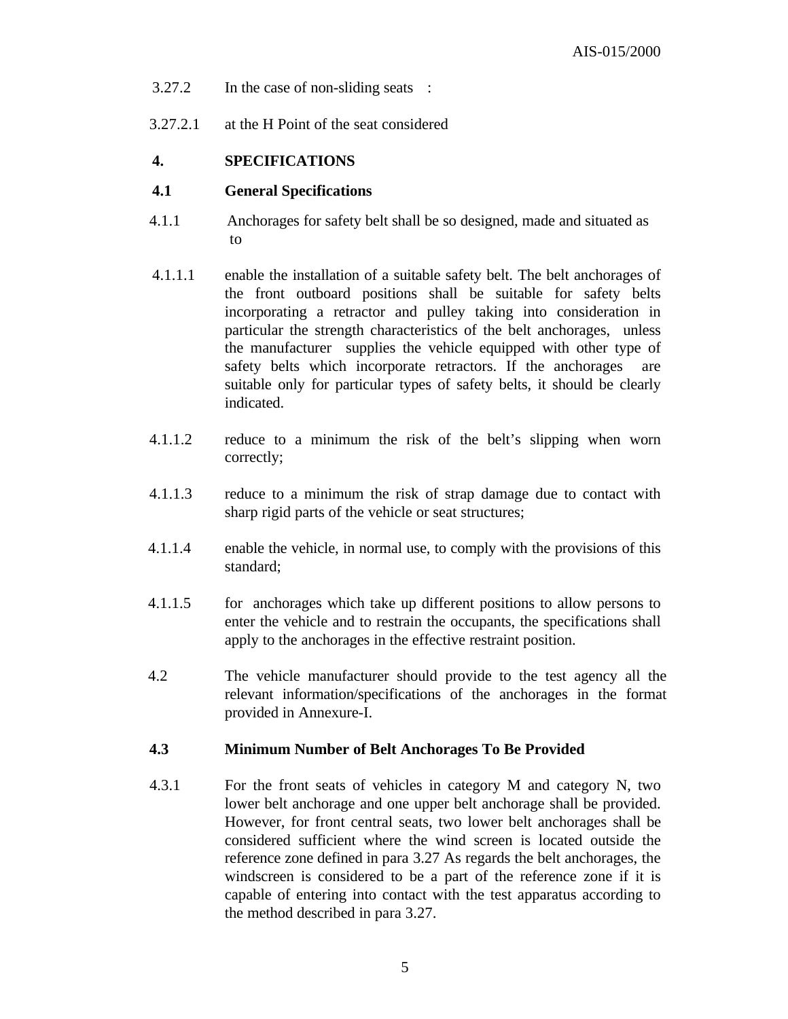- 3.27.2 In the case of non-sliding seats :
- 3.27.2.1 at the H Point of the seat considered

#### **4. SPECIFICATIONS**

#### **4.1 General Specifications**

- 4.1.1 Anchorages for safety belt shall be so designed, made and situated as to
- 4.1.1.1 enable the installation of a suitable safety belt. The belt anchorages of the front outboard positions shall be suitable for safety belts incorporating a retractor and pulley taking into consideration in particular the strength characteristics of the belt anchorages, unless the manufacturer supplies the vehicle equipped with other type of safety belts which incorporate retractors. If the anchorages are suitable only for particular types of safety belts, it should be clearly indicated.
- 4.1.1.2 reduce to a minimum the risk of the belt's slipping when worn correctly;
- 4.1.1.3 reduce to a minimum the risk of strap damage due to contact with sharp rigid parts of the vehicle or seat structures;
- 4.1.1.4 enable the vehicle, in normal use, to comply with the provisions of this standard;
- 4.1.1.5 for anchorages which take up different positions to allow persons to enter the vehicle and to restrain the occupants, the specifications shall apply to the anchorages in the effective restraint position.
- 4.2 The vehicle manufacturer should provide to the test agency all the relevant information/specifications of the anchorages in the format provided in Annexure-I.

#### **4.3 Minimum Number of Belt Anchorages To Be Provided**

4.3.1 For the front seats of vehicles in category M and category N, two lower belt anchorage and one upper belt anchorage shall be provided. However, for front central seats, two lower belt anchorages shall be considered sufficient where the wind screen is located outside the reference zone defined in para 3.27 As regards the belt anchorages, the windscreen is considered to be a part of the reference zone if it is capable of entering into contact with the test apparatus according to the method described in para 3.27.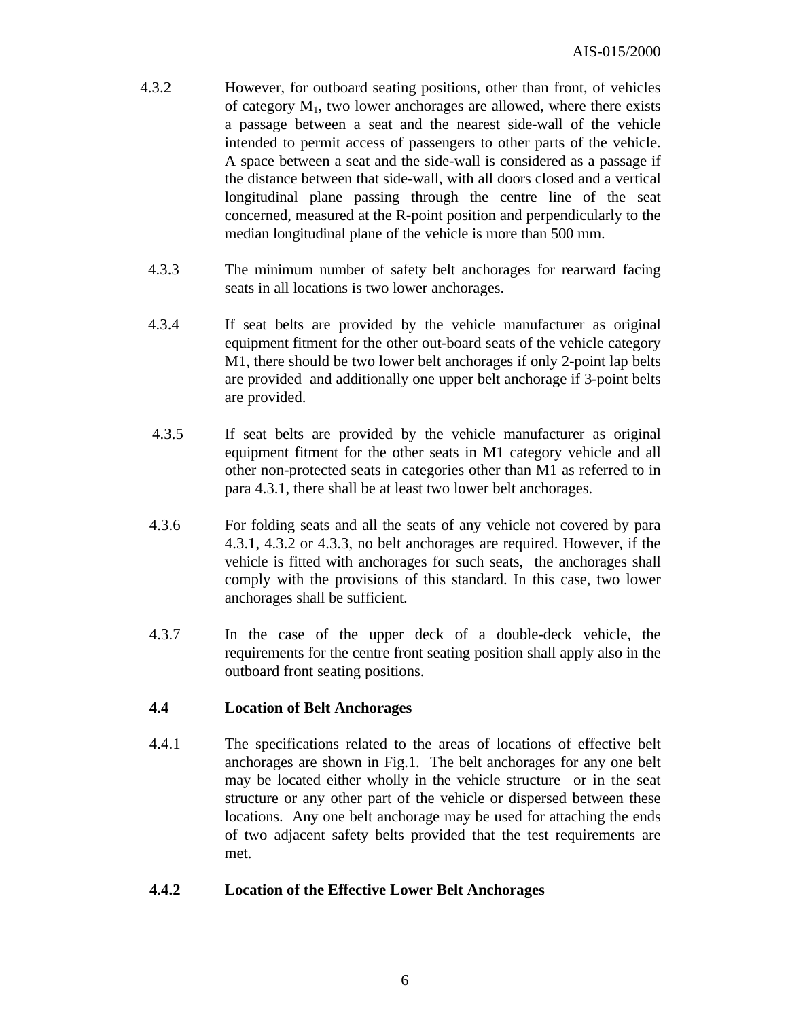- 4.3.2 However, for outboard seating positions, other than front, of vehicles of category  $M_1$ , two lower anchorages are allowed, where there exists a passage between a seat and the nearest side-wall of the vehicle intended to permit access of passengers to other parts of the vehicle. A space between a seat and the side-wall is considered as a passage if the distance between that side-wall, with all doors closed and a vertical longitudinal plane passing through the centre line of the seat concerned, measured at the R-point position and perpendicularly to the median longitudinal plane of the vehicle is more than 500 mm.
	- 4.3.3 The minimum number of safety belt anchorages for rearward facing seats in all locations is two lower anchorages.
	- 4.3.4 If seat belts are provided by the vehicle manufacturer as original equipment fitment for the other out-board seats of the vehicle category M1, there should be two lower belt anchorages if only 2-point lap belts are provided and additionally one upper belt anchorage if 3-point belts are provided.
	- 4.3.5 If seat belts are provided by the vehicle manufacturer as original equipment fitment for the other seats in M1 category vehicle and all other non-protected seats in categories other than M1 as referred to in para 4.3.1, there shall be at least two lower belt anchorages.
	- 4.3.6 For folding seats and all the seats of any vehicle not covered by para 4.3.1, 4.3.2 or 4.3.3, no belt anchorages are required. However, if the vehicle is fitted with anchorages for such seats, the anchorages shall comply with the provisions of this standard. In this case, two lower anchorages shall be sufficient.
	- 4.3.7 In the case of the upper deck of a double-deck vehicle, the requirements for the centre front seating position shall apply also in the outboard front seating positions.

#### **4.4 Location of Belt Anchorages**

4.4.1 The specifications related to the areas of locations of effective belt anchorages are shown in Fig.1. The belt anchorages for any one belt may be located either wholly in the vehicle structure or in the seat structure or any other part of the vehicle or dispersed between these locations. Any one belt anchorage may be used for attaching the ends of two adjacent safety belts provided that the test requirements are met.

#### **4.4.2 Location of the Effective Lower Belt Anchorages**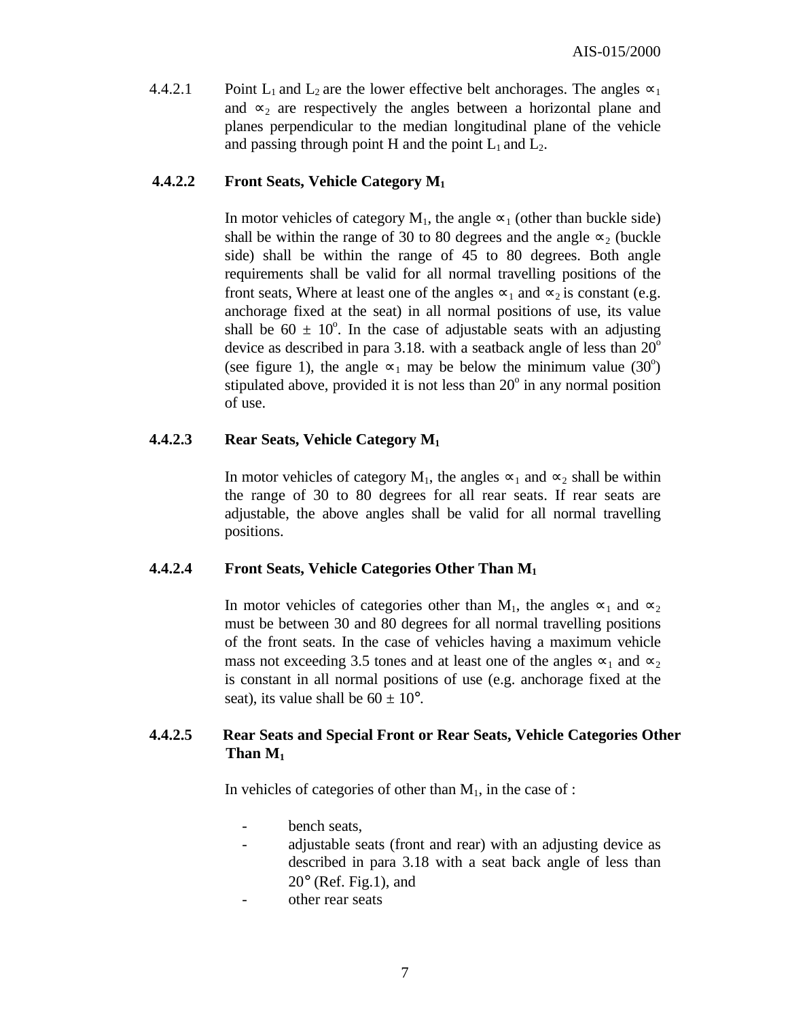4.4.2.1 Point L<sub>1</sub> and L<sub>2</sub> are the lower effective belt anchorages. The angles  $\infty_1$ and  $\infty_2$  are respectively the angles between a horizontal plane and planes perpendicular to the median longitudinal plane of the vehicle and passing through point H and the point  $L_1$  and  $L_2$ .

#### **4.4.2.2 Front Seats, Vehicle Category M<sup>1</sup>**

In motor vehicles of category  $M_1$ , the angle  $\infty_1$  (other than buckle side) shall be within the range of 30 to 80 degrees and the angle  $\infty_2$  (buckle side) shall be within the range of 45 to 80 degrees. Both angle requirements shall be valid for all normal travelling positions of the front seats, Where at least one of the angles  $\infty_1$  and  $\infty_2$  is constant (e.g. anchorage fixed at the seat) in all normal positions of use, its value shall be  $60 \pm 10^{\circ}$ . In the case of adjustable seats with an adjusting device as described in para 3.18. with a seatback angle of less than  $20^{\circ}$ (see figure 1), the angle  $\infty_1$  may be below the minimum value (30<sup>o</sup>) stipulated above, provided it is not less than 20° in any normal position of use.

#### **4.4.2.3 Rear Seats, Vehicle Category M<sup>1</sup>**

In motor vehicles of category M<sub>1</sub>, the angles  $\infty_1$  and  $\infty_2$  shall be within the range of 30 to 80 degrees for all rear seats. If rear seats are adjustable, the above angles shall be valid for all normal travelling positions.

#### **4.4.2.4 Front Seats, Vehicle Categories Other Than M<sup>1</sup>**

In motor vehicles of categories other than M<sub>1</sub>, the angles  $\infty_1$  and  $\infty_2$ must be between 30 and 80 degrees for all normal travelling positions of the front seats. In the case of vehicles having a maximum vehicle mass not exceeding 3.5 tones and at least one of the angles  $\infty_1$  and  $\infty_2$ is constant in all normal positions of use (e.g. anchorage fixed at the seat), its value shall be  $60 \pm 10^{\circ}$ .

#### **4.4.2.5 Rear Seats and Special Front or Rear Seats, Vehicle Categories Other Than**  $M_1$

In vehicles of categories of other than  $M_1$ , in the case of :

- bench seats,
- adjustable seats (front and rear) with an adjusting device as described in para 3.18 with a seat back angle of less than  $20^{\circ}$  (Ref. Fig.1), and
- other rear seats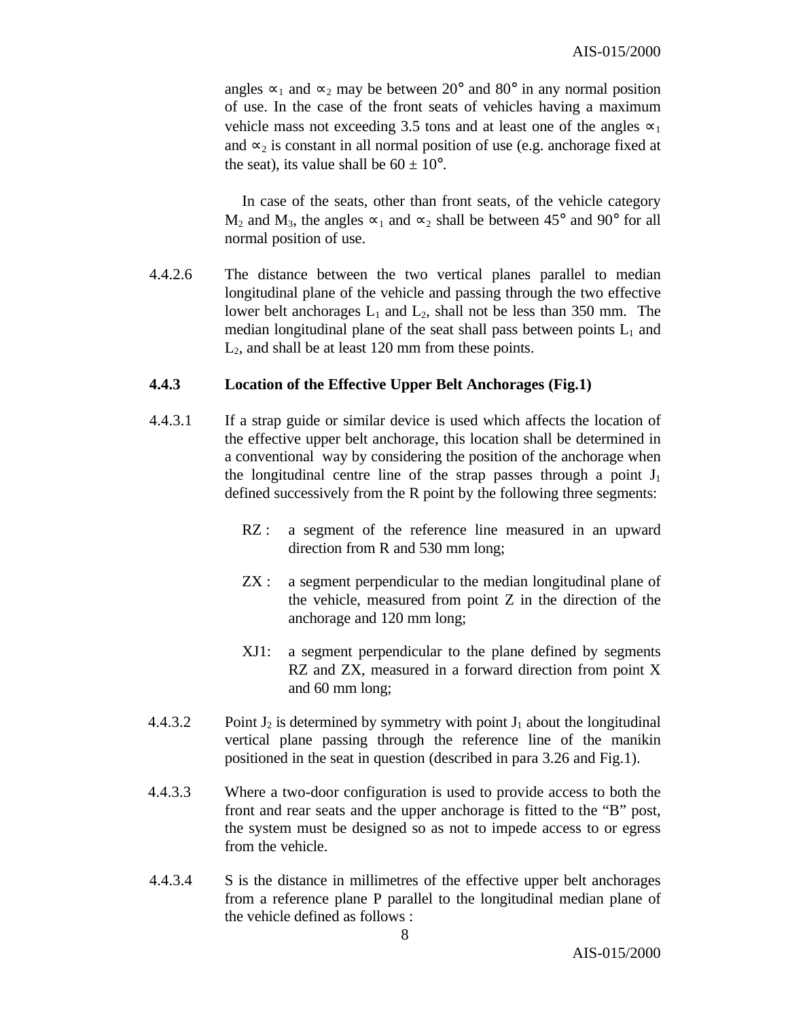angles  $\infty_1$  and  $\infty_2$  may be between 20° and 80° in any normal position of use. In the case of the front seats of vehicles having a maximum vehicle mass not exceeding 3.5 tons and at least one of the angles  $\infty_1$ and  $\infty_2$  is constant in all normal position of use (e.g. anchorage fixed at the seat), its value shall be  $60 \pm 10^{\circ}$ .

 In case of the seats, other than front seats, of the vehicle category M<sub>2</sub> and M<sub>3</sub>, the angles  $\infty_1$  and  $\infty_2$  shall be between 45° and 90° for all normal position of use.

4.4.2.6 The distance between the two vertical planes parallel to median longitudinal plane of the vehicle and passing through the two effective lower belt anchorages  $L_1$  and  $L_2$ , shall not be less than 350 mm. The median longitudinal plane of the seat shall pass between points  $L_1$  and  $L<sub>2</sub>$ , and shall be at least 120 mm from these points.

#### **4.4.3 Location of the Effective Upper Belt Anchorages (Fig.1)**

- 4.4.3.1 If a strap guide or similar device is used which affects the location of the effective upper belt anchorage, this location shall be determined in a conventional way by considering the position of the anchorage when the longitudinal centre line of the strap passes through a point  $J_1$ defined successively from the R point by the following three segments:
	- RZ : a segment of the reference line measured in an upward direction from R and 530 mm long;
	- ZX : a segment perpendicular to the median longitudinal plane of the vehicle, measured from point Z in the direction of the anchorage and 120 mm long;
	- XJ1: a segment perpendicular to the plane defined by segments RZ and ZX, measured in a forward direction from point X and 60 mm long;
- 4.4.3.2 Point  $J_2$  is determined by symmetry with point  $J_1$  about the longitudinal vertical plane passing through the reference line of the manikin positioned in the seat in question (described in para 3.26 and Fig.1).
- 4.4.3.3 Where a two-door configuration is used to provide access to both the front and rear seats and the upper anchorage is fitted to the "B" post, the system must be designed so as not to impede access to or egress from the vehicle.
- 4.4.3.4 S is the distance in millimetres of the effective upper belt anchorages from a reference plane P parallel to the longitudinal median plane of the vehicle defined as follows :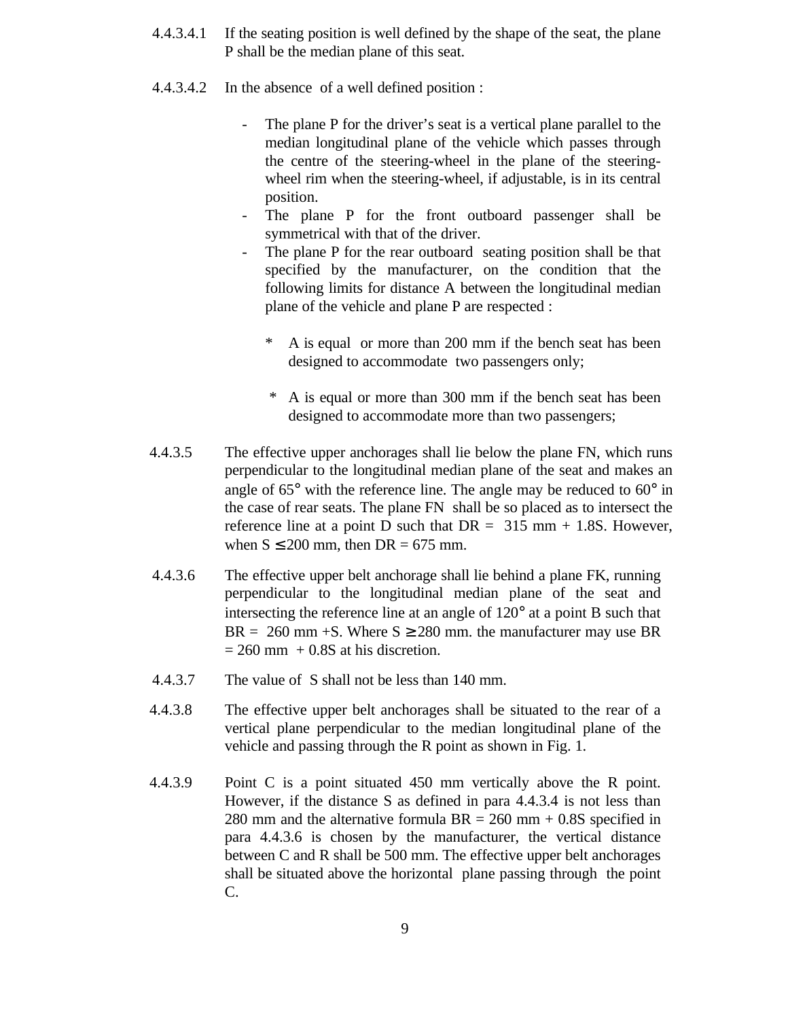- 4.4.3.4.1 If the seating position is well defined by the shape of the seat, the plane P shall be the median plane of this seat.
- 4.4.3.4.2 In the absence of a well defined position :
	- The plane P for the driver's seat is a vertical plane parallel to the median longitudinal plane of the vehicle which passes through the centre of the steering-wheel in the plane of the steeringwheel rim when the steering-wheel, if adjustable, is in its central position.
	- The plane P for the front outboard passenger shall be symmetrical with that of the driver.
	- The plane P for the rear outboard seating position shall be that specified by the manufacturer, on the condition that the following limits for distance A between the longitudinal median plane of the vehicle and plane P are respected :
		- \* A is equal or more than 200 mm if the bench seat has been designed to accommodate two passengers only;
		- \* A is equal or more than 300 mm if the bench seat has been designed to accommodate more than two passengers;
- 4.4.3.5 The effective upper anchorages shall lie below the plane FN, which runs perpendicular to the longitudinal median plane of the seat and makes an angle of 65° with the reference line. The angle may be reduced to 60° in the case of rear seats. The plane FN shall be so placed as to intersect the reference line at a point D such that  $DR = 315$  mm  $+ 1.8S$ . However, when  $S \le 200$  mm, then  $DR = 675$  mm.
- 4.4.3.6 The effective upper belt anchorage shall lie behind a plane FK, running perpendicular to the longitudinal median plane of the seat and intersecting the reference line at an angle of 120° at a point B such that  $BR = 260$  mm +S. Where  $S \ge 280$  mm. the manufacturer may use BR  $= 260$  mm  $+ 0.8$ S at his discretion.
- 4.4.3.7 The value of S shall not be less than 140 mm.
- 4.4.3.8 The effective upper belt anchorages shall be situated to the rear of a vertical plane perpendicular to the median longitudinal plane of the vehicle and passing through the R point as shown in Fig. 1.
- 4.4.3.9 Point C is a point situated 450 mm vertically above the R point. However, if the distance S as defined in para 4.4.3.4 is not less than 280 mm and the alternative formula  $BR = 260$  mm + 0.8S specified in para 4.4.3.6 is chosen by the manufacturer, the vertical distance between C and R shall be 500 mm. The effective upper belt anchorages shall be situated above the horizontal plane passing through the point C.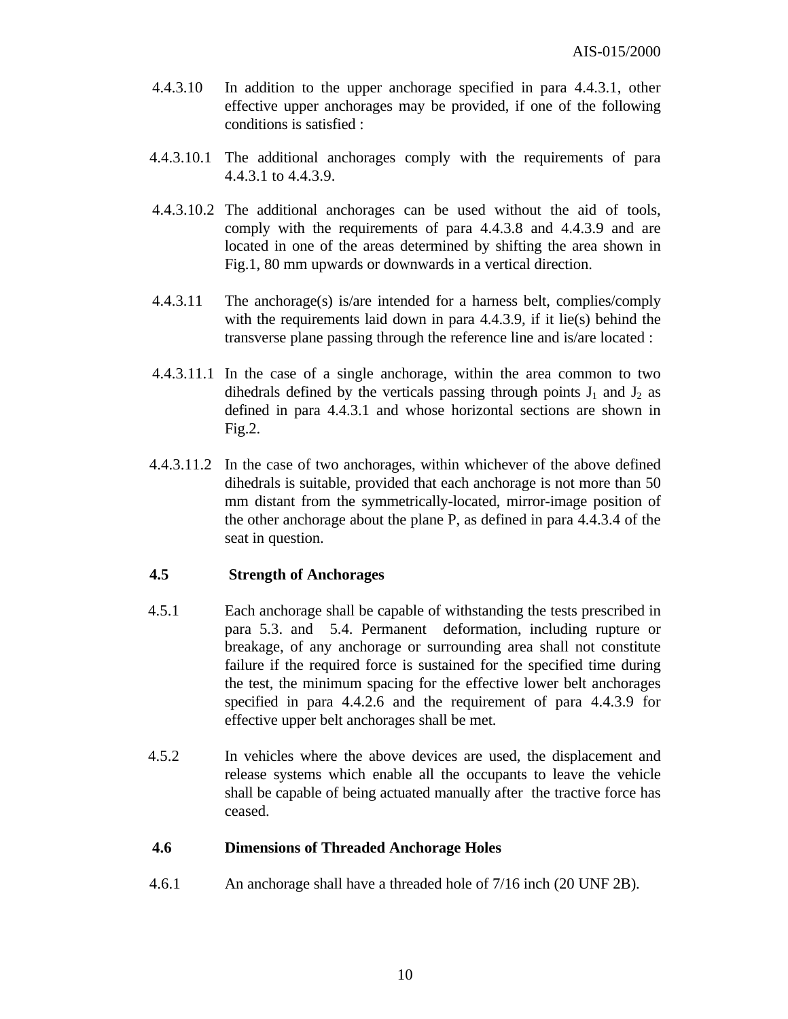- 4.4.3.10 In addition to the upper anchorage specified in para 4.4.3.1, other effective upper anchorages may be provided, if one of the following conditions is satisfied :
- 4.4.3.10.1 The additional anchorages comply with the requirements of para 4.4.3.1 to 4.4.3.9.
- 4.4.3.10.2 The additional anchorages can be used without the aid of tools, comply with the requirements of para 4.4.3.8 and 4.4.3.9 and are located in one of the areas determined by shifting the area shown in Fig.1, 80 mm upwards or downwards in a vertical direction.
- 4.4.3.11 The anchorage(s) is/are intended for a harness belt, complies/comply with the requirements laid down in para 4.4.3.9, if it lie(s) behind the transverse plane passing through the reference line and is/are located :
- 4.4.3.11.1 In the case of a single anchorage, within the area common to two dihedrals defined by the verticals passing through points  $J_1$  and  $J_2$  as defined in para 4.4.3.1 and whose horizontal sections are shown in Fig.2.
- 4.4.3.11.2 In the case of two anchorages, within whichever of the above defined dihedrals is suitable, provided that each anchorage is not more than 50 mm distant from the symmetrically-located, mirror-image position of the other anchorage about the plane P, as defined in para 4.4.3.4 of the seat in question.

#### **4.5 Strength of Anchorages**

- 4.5.1 Each anchorage shall be capable of withstanding the tests prescribed in para 5.3. and 5.4. Permanent deformation, including rupture or breakage, of any anchorage or surrounding area shall not constitute failure if the required force is sustained for the specified time during the test, the minimum spacing for the effective lower belt anchorages specified in para 4.4.2.6 and the requirement of para 4.4.3.9 for effective upper belt anchorages shall be met.
- 4.5.2 In vehicles where the above devices are used, the displacement and release systems which enable all the occupants to leave the vehicle shall be capable of being actuated manually after the tractive force has ceased.

#### **4.6 Dimensions of Threaded Anchorage Holes**

4.6.1 An anchorage shall have a threaded hole of 7/16 inch (20 UNF 2B).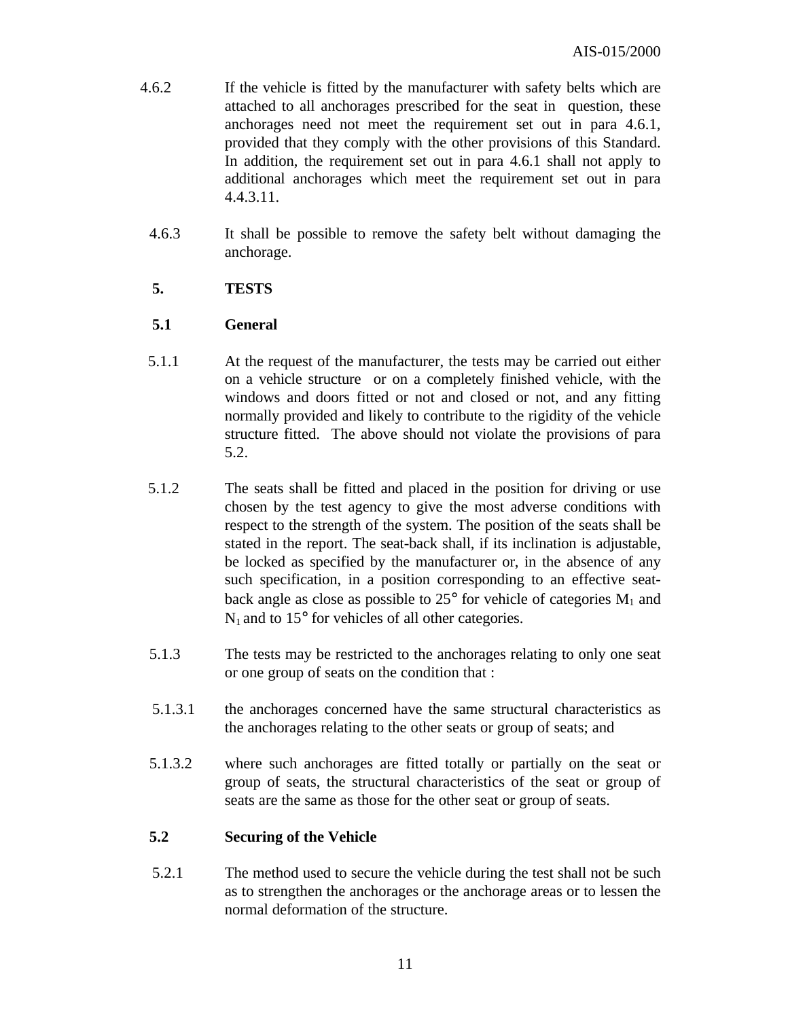- 4.6.2 If the vehicle is fitted by the manufacturer with safety belts which are attached to all anchorages prescribed for the seat in question, these anchorages need not meet the requirement set out in para 4.6.1, provided that they comply with the other provisions of this Standard. In addition, the requirement set out in para 4.6.1 shall not apply to additional anchorages which meet the requirement set out in para 4.4.3.11.
	- 4.6.3 It shall be possible to remove the safety belt without damaging the anchorage.

#### **5. TESTS**

#### **5.1 General**

- 5.1.1 At the request of the manufacturer, the tests may be carried out either on a vehicle structure or on a completely finished vehicle, with the windows and doors fitted or not and closed or not, and any fitting normally provided and likely to contribute to the rigidity of the vehicle structure fitted. The above should not violate the provisions of para 5.2.
- 5.1.2 The seats shall be fitted and placed in the position for driving or use chosen by the test agency to give the most adverse conditions with respect to the strength of the system. The position of the seats shall be stated in the report. The seat-back shall, if its inclination is adjustable, be locked as specified by the manufacturer or, in the absence of any such specification, in a position corresponding to an effective seatback angle as close as possible to  $25^{\circ}$  for vehicle of categories  $M_1$  and  $N_1$  and to 15 $\degree$  for vehicles of all other categories.
- 5.1.3 The tests may be restricted to the anchorages relating to only one seat or one group of seats on the condition that :
- 5.1.3.1 the anchorages concerned have the same structural characteristics as the anchorages relating to the other seats or group of seats; and
- 5.1.3.2 where such anchorages are fitted totally or partially on the seat or group of seats, the structural characteristics of the seat or group of seats are the same as those for the other seat or group of seats.

#### **5.2 Securing of the Vehicle**

 5.2.1 The method used to secure the vehicle during the test shall not be such as to strengthen the anchorages or the anchorage areas or to lessen the normal deformation of the structure.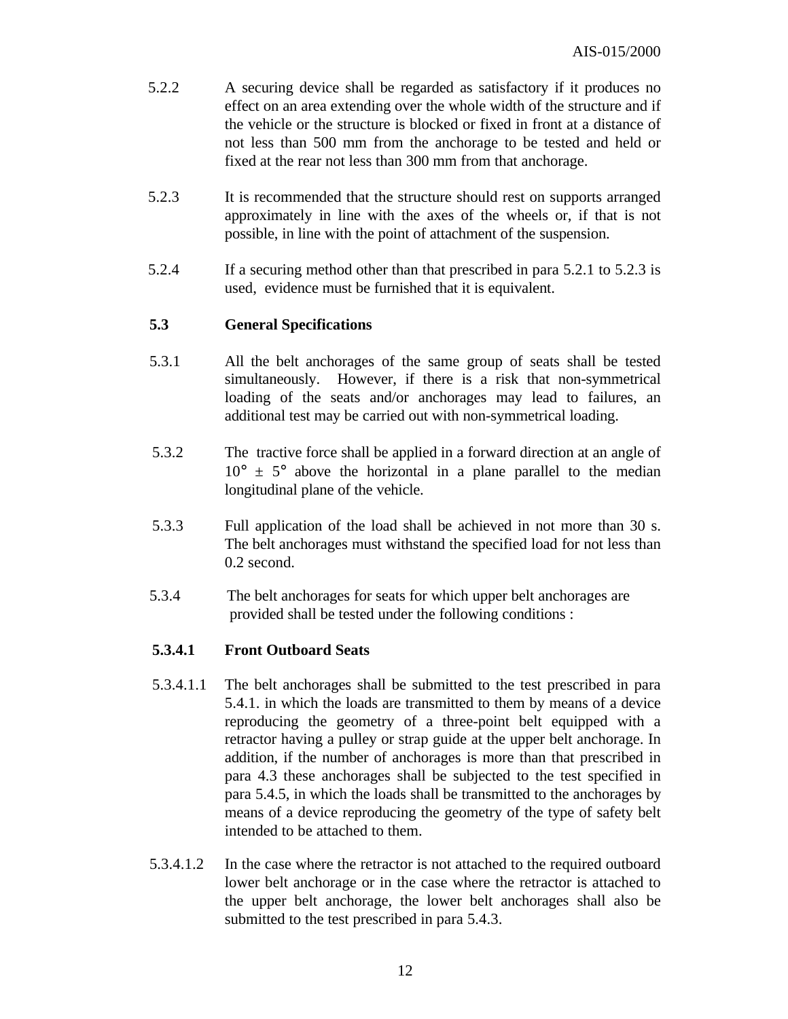- 5.2.2 A securing device shall be regarded as satisfactory if it produces no effect on an area extending over the whole width of the structure and if the vehicle or the structure is blocked or fixed in front at a distance of not less than 500 mm from the anchorage to be tested and held or fixed at the rear not less than 300 mm from that anchorage.
- 5.2.3 It is recommended that the structure should rest on supports arranged approximately in line with the axes of the wheels or, if that is not possible, in line with the point of attachment of the suspension.
- 5.2.4 If a securing method other than that prescribed in para 5.2.1 to 5.2.3 is used, evidence must be furnished that it is equivalent.

#### **5.3 General Specifications**

- 5.3.1 All the belt anchorages of the same group of seats shall be tested simultaneously. However, if there is a risk that non-symmetrical loading of the seats and/or anchorages may lead to failures, an additional test may be carried out with non-symmetrical loading.
- 5.3.2 The tractive force shall be applied in a forward direction at an angle of  $10^{\circ} \pm 5^{\circ}$  above the horizontal in a plane parallel to the median longitudinal plane of the vehicle.
- 5.3.3 Full application of the load shall be achieved in not more than 30 s. The belt anchorages must withstand the specified load for not less than 0.2 second.
- 5.3.4 The belt anchorages for seats for which upper belt anchorages are provided shall be tested under the following conditions :

#### **5.3.4.1 Front Outboard Seats**

- 5.3.4.1.1 The belt anchorages shall be submitted to the test prescribed in para 5.4.1. in which the loads are transmitted to them by means of a device reproducing the geometry of a three-point belt equipped with a retractor having a pulley or strap guide at the upper belt anchorage. In addition, if the number of anchorages is more than that prescribed in para 4.3 these anchorages shall be subjected to the test specified in para 5.4.5, in which the loads shall be transmitted to the anchorages by means of a device reproducing the geometry of the type of safety belt intended to be attached to them.
- 5.3.4.1.2 In the case where the retractor is not attached to the required outboard lower belt anchorage or in the case where the retractor is attached to the upper belt anchorage, the lower belt anchorages shall also be submitted to the test prescribed in para 5.4.3.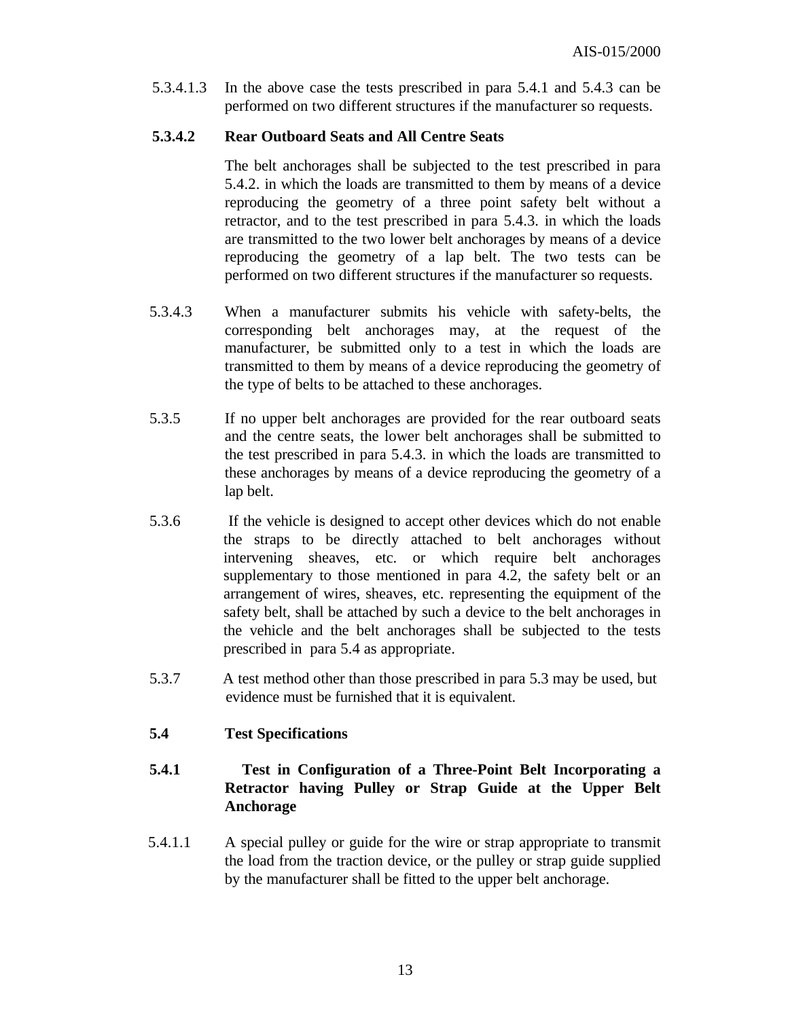5.3.4.1.3 In the above case the tests prescribed in para 5.4.1 and 5.4.3 can be performed on two different structures if the manufacturer so requests.

#### **5.3.4.2 Rear Outboard Seats and All Centre Seats**

The belt anchorages shall be subjected to the test prescribed in para 5.4.2. in which the loads are transmitted to them by means of a device reproducing the geometry of a three point safety belt without a retractor, and to the test prescribed in para 5.4.3. in which the loads are transmitted to the two lower belt anchorages by means of a device reproducing the geometry of a lap belt. The two tests can be performed on two different structures if the manufacturer so requests.

- 5.3.4.3 When a manufacturer submits his vehicle with safety-belts, the corresponding belt anchorages may, at the request of the manufacturer, be submitted only to a test in which the loads are transmitted to them by means of a device reproducing the geometry of the type of belts to be attached to these anchorages.
- 5.3.5 If no upper belt anchorages are provided for the rear outboard seats and the centre seats, the lower belt anchorages shall be submitted to the test prescribed in para 5.4.3. in which the loads are transmitted to these anchorages by means of a device reproducing the geometry of a lap belt.
- 5.3.6 If the vehicle is designed to accept other devices which do not enable the straps to be directly attached to belt anchorages without intervening sheaves, etc. or which require belt anchorages supplementary to those mentioned in para 4.2, the safety belt or an arrangement of wires, sheaves, etc. representing the equipment of the safety belt, shall be attached by such a device to the belt anchorages in the vehicle and the belt anchorages shall be subjected to the tests prescribed in para 5.4 as appropriate.
- 5.3.7 A test method other than those prescribed in para 5.3 may be used, but evidence must be furnished that it is equivalent.

#### **5.4 Test Specifications**

#### **5.4.1 Test in Configuration of a Three-Point Belt Incorporating a Retractor having Pulley or Strap Guide at the Upper Belt Anchorage**

 5.4.1.1 A special pulley or guide for the wire or strap appropriate to transmit the load from the traction device, or the pulley or strap guide supplied by the manufacturer shall be fitted to the upper belt anchorage.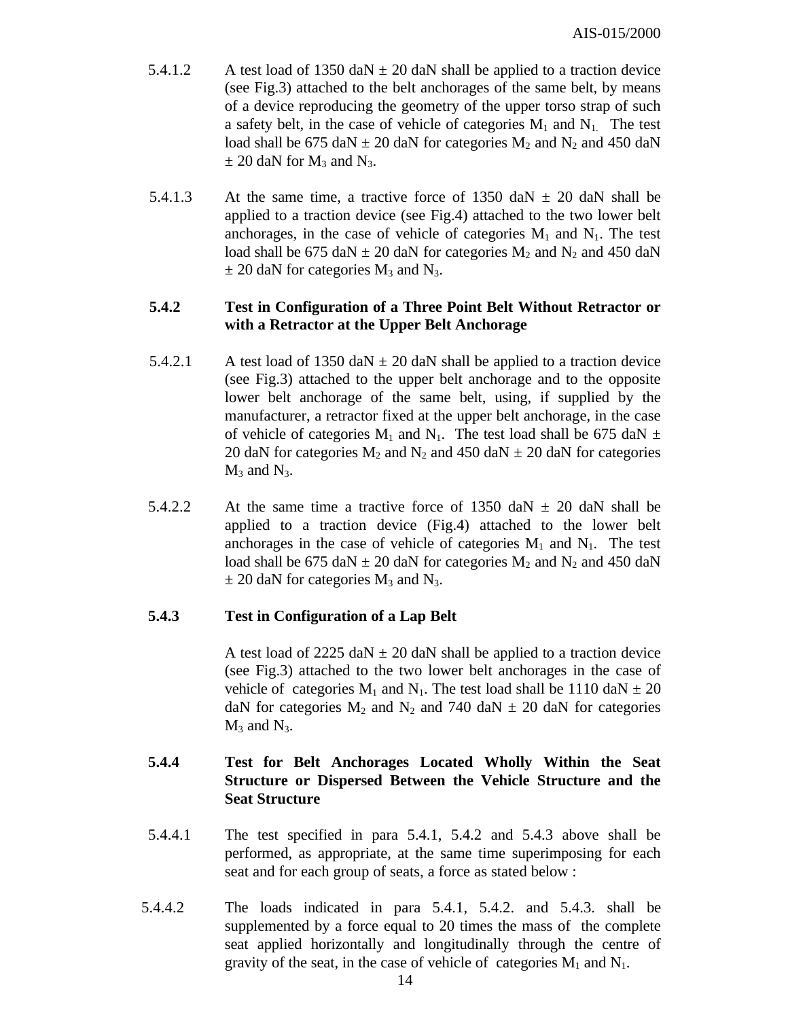- 5.4.1.2 A test load of 1350 daN  $\pm$  20 daN shall be applied to a traction device (see Fig.3) attached to the belt anchorages of the same belt, by means of a device reproducing the geometry of the upper torso strap of such a safety belt, in the case of vehicle of categories  $M_1$  and  $N_1$ . The test load shall be 675 daN  $\pm$  20 daN for categories M<sub>2</sub> and N<sub>2</sub> and 450 daN  $\pm$  20 daN for M<sub>3</sub> and N<sub>3</sub>.
- 5.4.1.3 At the same time, a tractive force of 1350 daN  $\pm$  20 daN shall be applied to a traction device (see Fig.4) attached to the two lower belt anchorages, in the case of vehicle of categories  $M_1$  and  $N_1$ . The test load shall be 675 daN  $\pm$  20 daN for categories M<sub>2</sub> and N<sub>2</sub> and 450 daN  $\pm$  20 daN for categories M<sub>3</sub> and N<sub>3</sub>.

#### **5.4.2 Test in Configuration of a Three Point Belt Without Retractor or with a Retractor at the Upper Belt Anchorage**

- 5.4.2.1 A test load of 1350 daN  $\pm$  20 daN shall be applied to a traction device (see Fig.3) attached to the upper belt anchorage and to the opposite lower belt anchorage of the same belt, using, if supplied by the manufacturer, a retractor fixed at the upper belt anchorage, in the case of vehicle of categories  $M_1$  and  $N_1$ . The test load shall be 675 daN  $\pm$ 20 daN for categories  $M_2$  and  $N_2$  and 450 daN  $\pm$  20 daN for categories  $M_3$  and  $N_3$ .
- 5.4.2.2 At the same time a tractive force of 1350 daN  $\pm$  20 daN shall be applied to a traction device (Fig.4) attached to the lower belt anchorages in the case of vehicle of categories  $M_1$  and  $N_1$ . The test load shall be 675 daN  $\pm$  20 daN for categories M<sub>2</sub> and N<sub>2</sub> and 450 daN  $\pm$  20 daN for categories M<sub>3</sub> and N<sub>3</sub>.

#### **5.4.3 Test in Configuration of a Lap Belt**

A test load of  $2225$  daN  $\pm$  20 daN shall be applied to a traction device (see Fig.3) attached to the two lower belt anchorages in the case of vehicle of categories  $M_1$  and  $N_1$ . The test load shall be 1110 daN  $\pm$  20 daN for categories  $M_2$  and  $N_2$  and 740 daN  $\pm$  20 daN for categories  $M_3$  and  $N_3$ .

#### **5.4.4 Test for Belt Anchorages Located Wholly Within the Seat Structure or Dispersed Between the Vehicle Structure and the Seat Structure**

- 5.4.4.1 The test specified in para 5.4.1, 5.4.2 and 5.4.3 above shall be performed, as appropriate, at the same time superimposing for each seat and for each group of seats, a force as stated below :
- 5.4.4.2 The loads indicated in para 5.4.1, 5.4.2. and 5.4.3. shall be supplemented by a force equal to 20 times the mass of the complete seat applied horizontally and longitudinally through the centre of gravity of the seat, in the case of vehicle of categories  $M_1$  and  $N_1$ .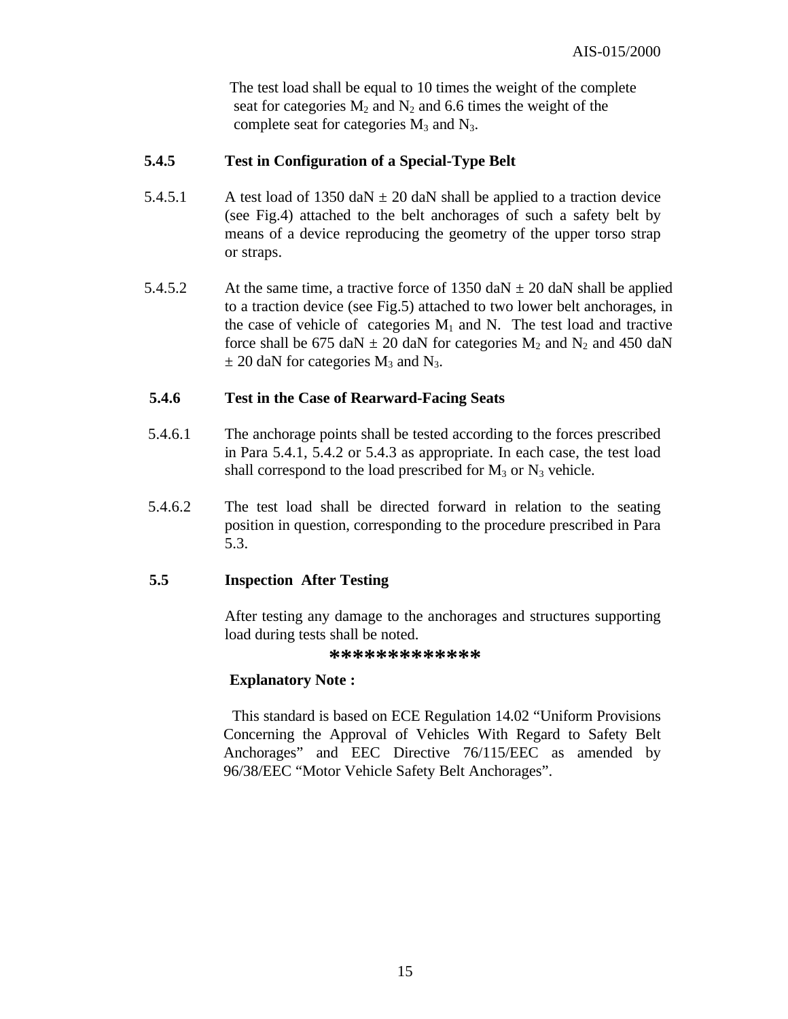The test load shall be equal to 10 times the weight of the complete seat for categories  $M_2$  and  $N_2$  and 6.6 times the weight of the complete seat for categories  $M_3$  and  $N_3$ .

#### **5.4.5 Test in Configuration of a Special-Type Belt**

- 5.4.5.1 A test load of 1350 daN  $\pm$  20 daN shall be applied to a traction device (see Fig.4) attached to the belt anchorages of such a safety belt by means of a device reproducing the geometry of the upper torso strap or straps.
- 5.4.5.2 At the same time, a tractive force of 1350 daN  $\pm$  20 daN shall be applied to a traction device (see Fig.5) attached to two lower belt anchorages, in the case of vehicle of categories  $M_1$  and N. The test load and tractive force shall be 675 daN  $\pm$  20 daN for categories M<sub>2</sub> and N<sub>2</sub> and 450 daN  $\pm$  20 daN for categories M<sub>3</sub> and N<sub>3</sub>.

#### **5.4.6 Test in the Case of Rearward-Facing Seats**

- 5.4.6.1 The anchorage points shall be tested according to the forces prescribed in Para 5.4.1, 5.4.2 or 5.4.3 as appropriate. In each case, the test load shall correspond to the load prescribed for  $M_3$  or  $N_3$  vehicle.
- 5.4.6.2 The test load shall be directed forward in relation to the seating position in question, corresponding to the procedure prescribed in Para 5.3.

#### **5.5 Inspection After Testing**

After testing any damage to the anchorages and structures supporting load during tests shall be noted.

**\*\*\*\*\*\*\*\*\*\*\*\*\***

#### **Explanatory Note :**

 This standard is based on ECE Regulation 14.02 "Uniform Provisions Concerning the Approval of Vehicles With Regard to Safety Belt Anchorages" and EEC Directive 76/115/EEC as amended by 96/38/EEC "Motor Vehicle Safety Belt Anchorages".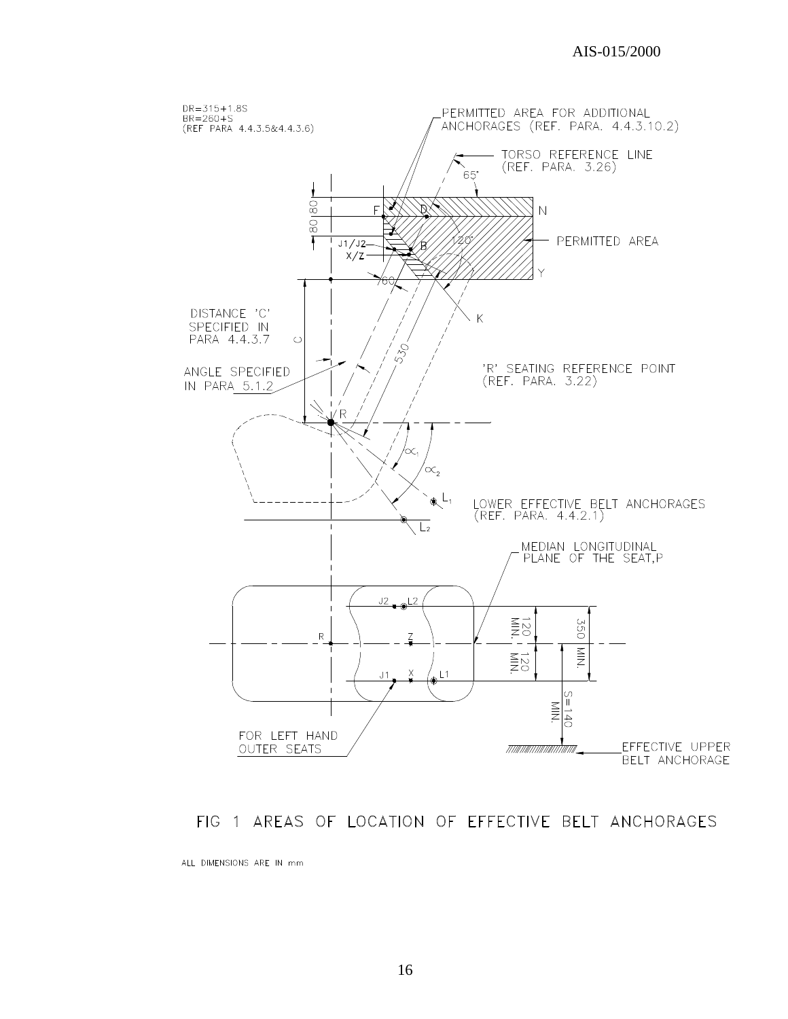

#### FIG 1 AREAS OF LOCATION OF EFFECTIVE BELT ANCHORAGES

ALL DIMENSIONS ARE IN mm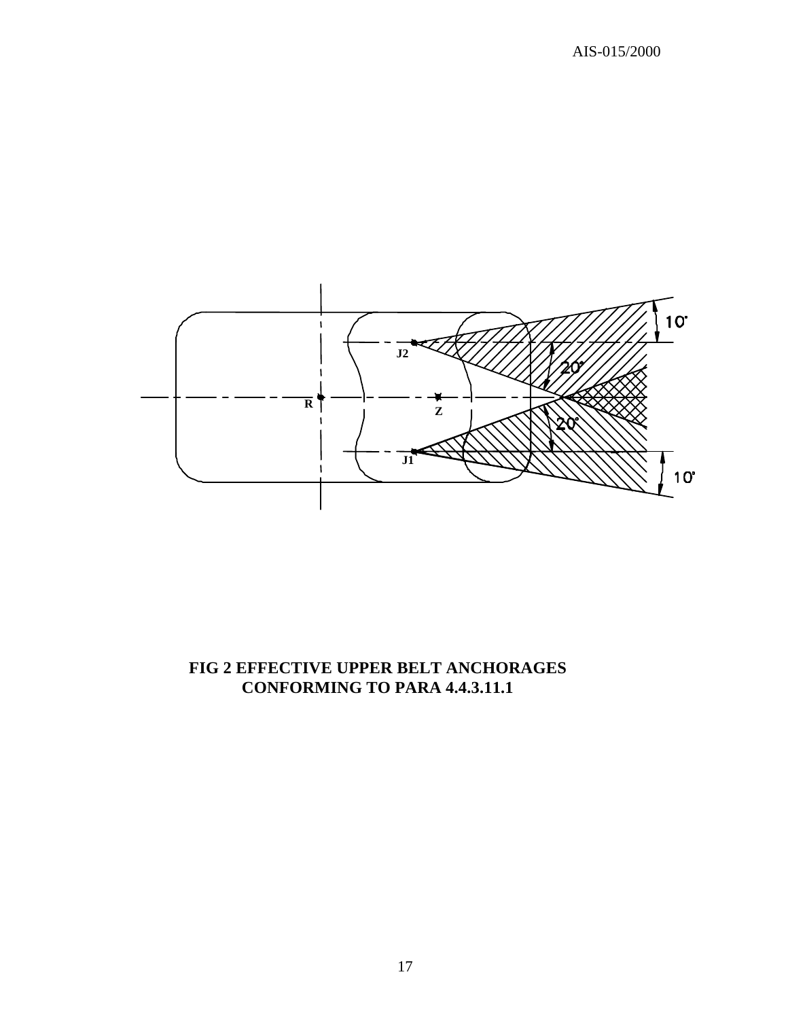

## **FIG 2 EFFECTIVE UPPER BELT ANCHORAGES CONFORMING TO PARA 4.4.3.11.1**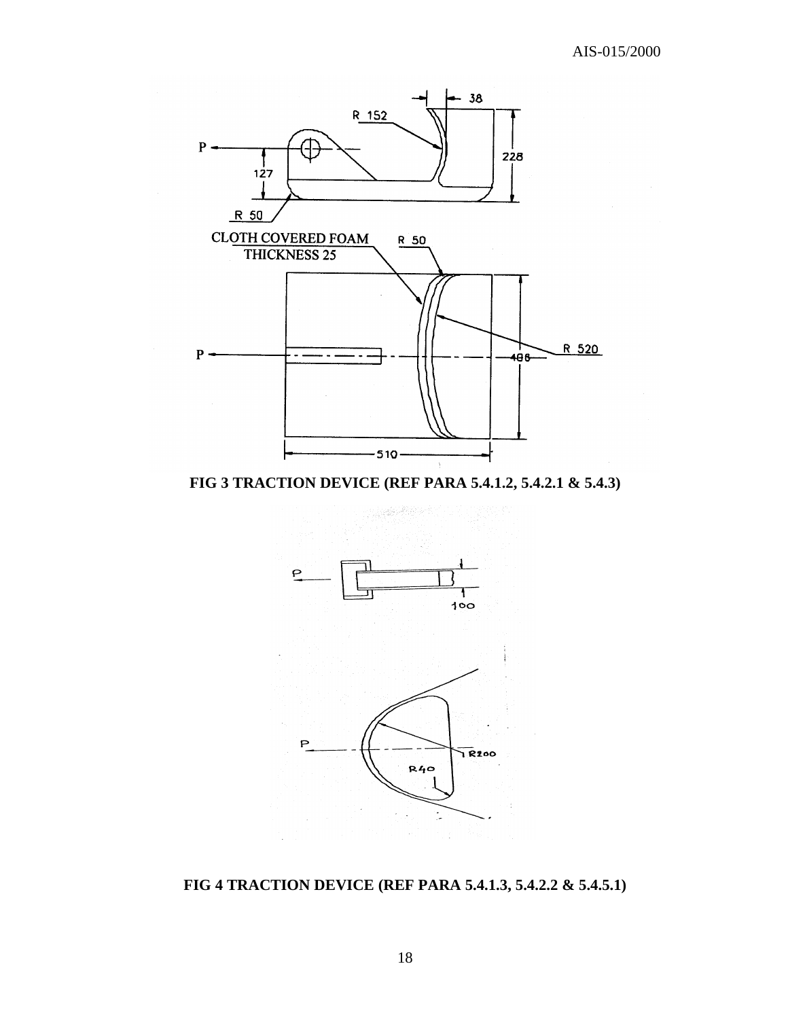

**FIG 3 TRACTION DEVICE (REF PARA 5.4.1.2, 5.4.2.1 & 5.4.3)**



**FIG 4 TRACTION DEVICE (REF PARA 5.4.1.3, 5.4.2.2 & 5.4.5.1)**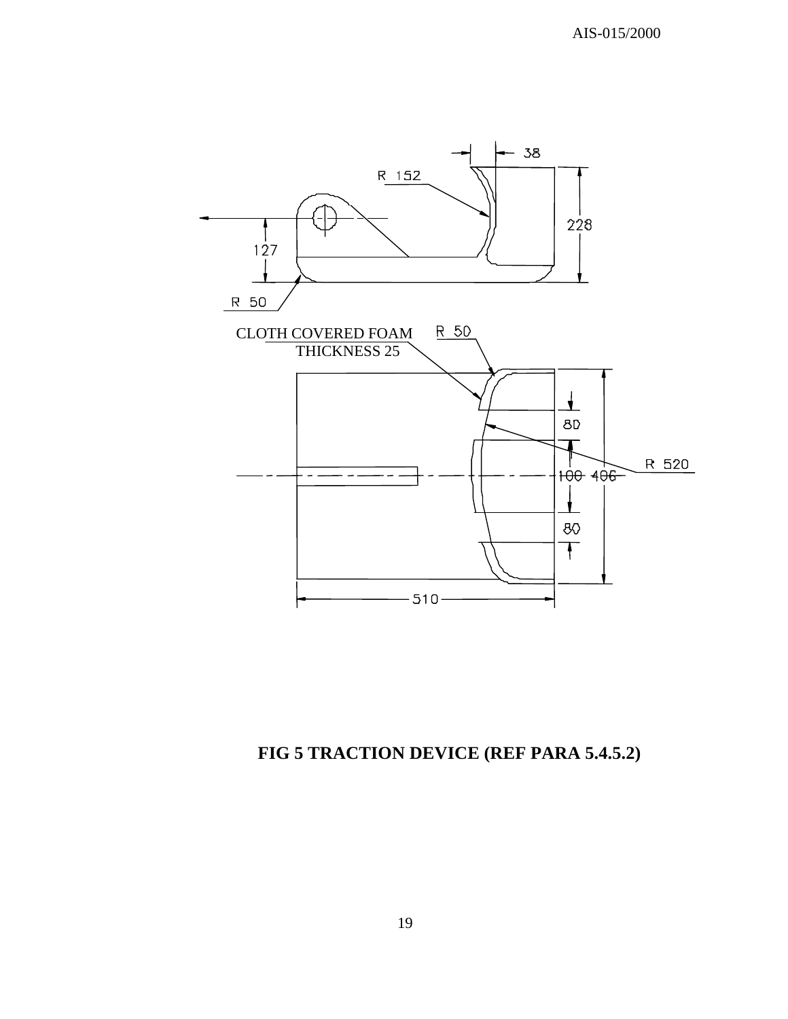

# **FIG 5 TRACTION DEVICE (REF PARA 5.4.5.2)**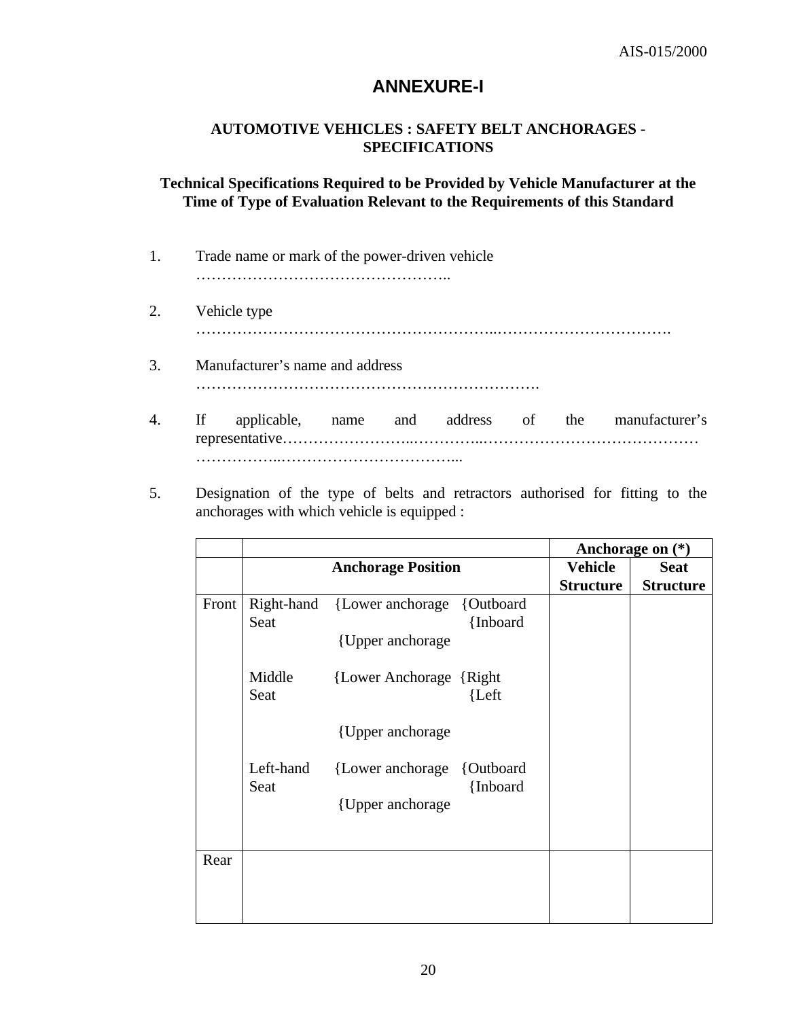## **ANNEXURE-I**

#### **AUTOMOTIVE VEHICLES : SAFETY BELT ANCHORAGES - SPECIFICATIONS**

#### **Technical Specifications Required to be Provided by Vehicle Manufacturer at the Time of Type of Evaluation Relevant to the Requirements of this Standard**

| 1. | Trade name or mark of the power-driven vehicle |  |  |                                                    |
|----|------------------------------------------------|--|--|----------------------------------------------------|
| 2. | Vehicle type                                   |  |  |                                                    |
| 3. | Manufacturer's name and address                |  |  |                                                    |
| 4. | $\mathbf{H}$                                   |  |  | applicable, name and address of the manufacturer's |
|    |                                                |  |  |                                                    |

5. Designation of the type of belts and retractors authorised for fitting to the anchorages with which vehicle is equipped :

|       |                   |                                                             |          |                                    | Anchorage on $(*)$              |
|-------|-------------------|-------------------------------------------------------------|----------|------------------------------------|---------------------------------|
|       |                   | <b>Anchorage Position</b>                                   |          | <b>Vehicle</b><br><b>Structure</b> | <b>Seat</b><br><b>Structure</b> |
| Front | Seat              | Right-hand {Lower anchorage {Outboard}<br>{Upper anchorage} | {Inboard |                                    |                                 |
|       | Middle<br>Seat    | {Lower Anchorage {Right}                                    | {Left    |                                    |                                 |
|       |                   | {Upper anchorage}                                           |          |                                    |                                 |
|       | Left-hand<br>Seat | {Lower anchorage {Outboard}<br>{Upper anchorage}            | {Inboard |                                    |                                 |
| Rear  |                   |                                                             |          |                                    |                                 |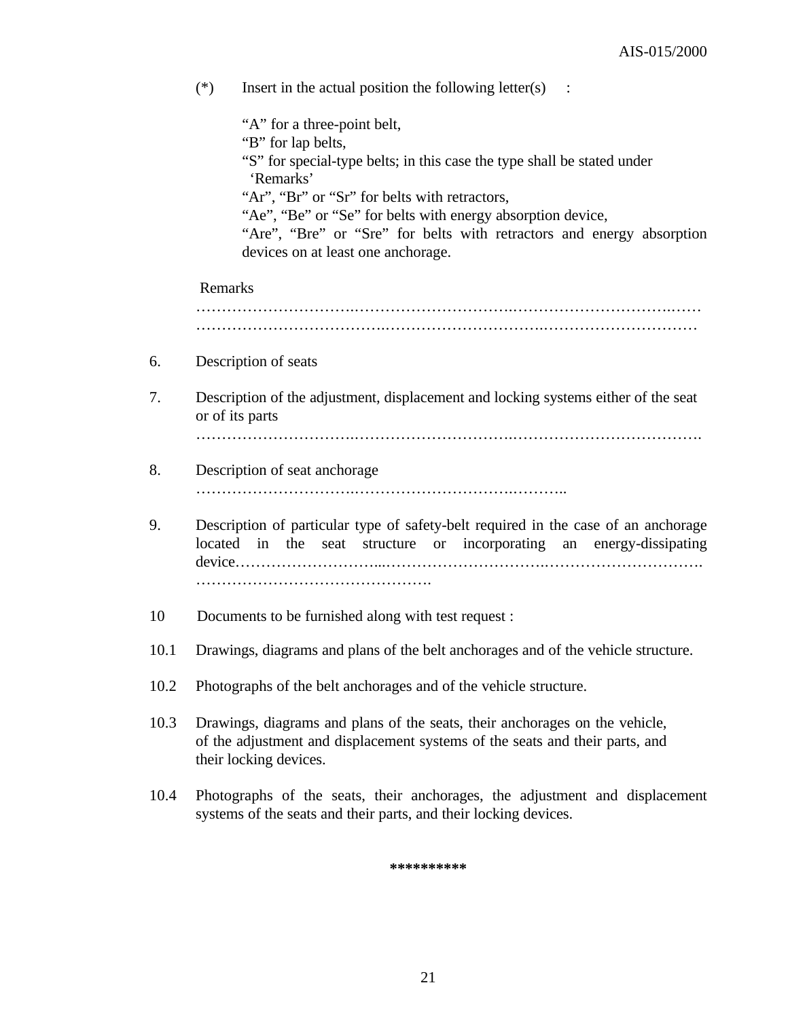|      | $(*)$                                                                                                 | Insert in the actual position the following letter(s) $\therefore$                                                                                                                                                                                                                                                                                                       |  |  |
|------|-------------------------------------------------------------------------------------------------------|--------------------------------------------------------------------------------------------------------------------------------------------------------------------------------------------------------------------------------------------------------------------------------------------------------------------------------------------------------------------------|--|--|
|      |                                                                                                       | "A" for a three-point belt,<br>"B" for lap belts,<br>"S" for special-type belts; in this case the type shall be stated under<br>'Remarks'<br>"Ar", "Br" or "Sr" for belts with retractors,<br>"Ae", "Be" or "Se" for belts with energy absorption device,<br>"Are", "Bre" or "Sre" for belts with retractors and energy absorption<br>devices on at least one anchorage. |  |  |
|      | Remarks                                                                                               |                                                                                                                                                                                                                                                                                                                                                                          |  |  |
|      |                                                                                                       |                                                                                                                                                                                                                                                                                                                                                                          |  |  |
| 6.   |                                                                                                       | Description of seats                                                                                                                                                                                                                                                                                                                                                     |  |  |
| 7.   | Description of the adjustment, displacement and locking systems either of the seat<br>or of its parts |                                                                                                                                                                                                                                                                                                                                                                          |  |  |
|      |                                                                                                       |                                                                                                                                                                                                                                                                                                                                                                          |  |  |
| 8.   | Description of seat anchorage                                                                         |                                                                                                                                                                                                                                                                                                                                                                          |  |  |
|      |                                                                                                       |                                                                                                                                                                                                                                                                                                                                                                          |  |  |
| 9.   |                                                                                                       | Description of particular type of safety-belt required in the case of an anchorage<br>located in<br>the seat structure or incorporating an energy-dissipating                                                                                                                                                                                                            |  |  |
| 10   |                                                                                                       | Documents to be furnished along with test request :                                                                                                                                                                                                                                                                                                                      |  |  |
| 10.1 |                                                                                                       | Drawings, diagrams and plans of the belt anchorages and of the vehicle structure.                                                                                                                                                                                                                                                                                        |  |  |
| 10.2 |                                                                                                       | Photographs of the belt anchorages and of the vehicle structure.                                                                                                                                                                                                                                                                                                         |  |  |
| 10.3 |                                                                                                       | Drawings, diagrams and plans of the seats, their anchorages on the vehicle,<br>of the adjustment and displacement systems of the seats and their parts, and<br>their locking devices.                                                                                                                                                                                    |  |  |
| 10.4 |                                                                                                       | Photographs of the seats, their anchorages, the adjustment and displacement                                                                                                                                                                                                                                                                                              |  |  |

**\*\*\*\*\*\*\*\*\*\***

systems of the seats and their parts, and their locking devices.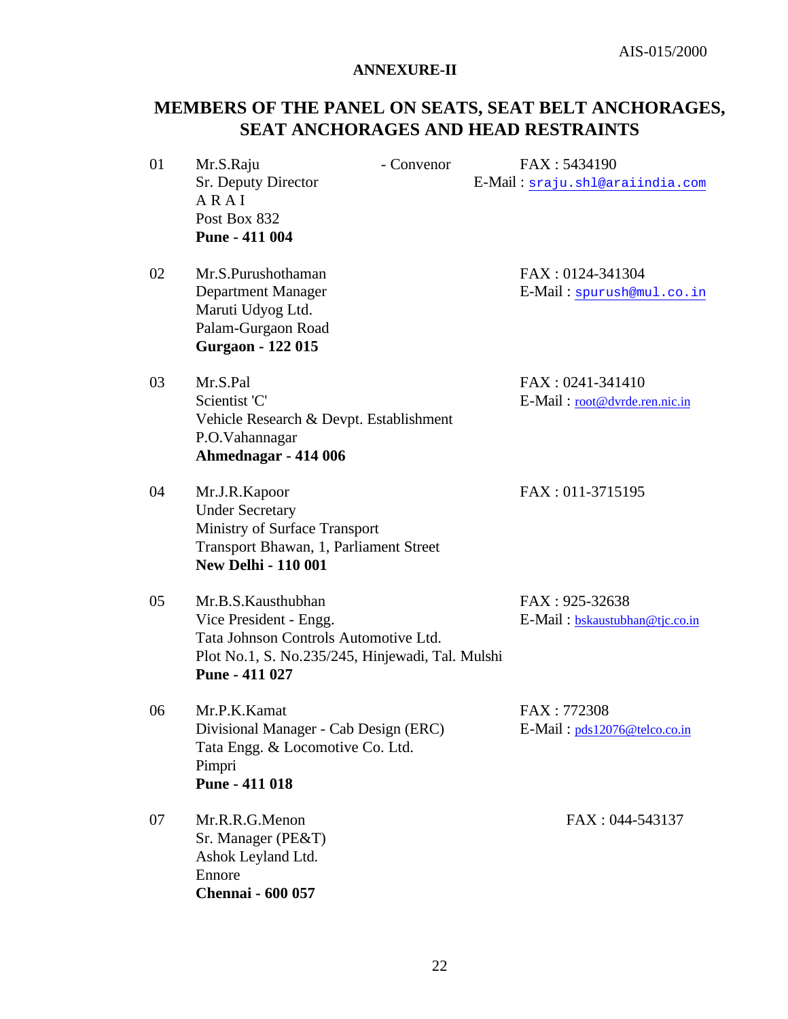#### **ANNEXURE-II**

## **MEMBERS OF THE PANEL ON SEATS, SEAT BELT ANCHORAGES, SEAT ANCHORAGES AND HEAD RESTRAINTS**

| 01 | Mr.S.Raju<br>Sr. Deputy Director<br>ARAI<br>Post Box 832<br>Pune - 411 004                                                                                  | - Convenor | FAX: 5434190<br>E-Mail: sraju.shl@araiindia.com   |
|----|-------------------------------------------------------------------------------------------------------------------------------------------------------------|------------|---------------------------------------------------|
| 02 | Mr.S.Purushothaman<br>Department Manager<br>Maruti Udyog Ltd.<br>Palam-Gurgaon Road<br><b>Gurgaon - 122 015</b>                                             |            | FAX: 0124-341304<br>E-Mail: spurush@mul.co.in     |
| 03 | Mr.S.Pal<br>Scientist 'C'<br>Vehicle Research & Devpt. Establishment<br>P.O.Vahannagar<br>Ahmednagar - 414 006                                              |            | FAX: 0241-341410<br>E-Mail: root@dvrde.ren.nic.in |
| 04 | Mr.J.R.Kapoor<br><b>Under Secretary</b><br>Ministry of Surface Transport<br>Transport Bhawan, 1, Parliament Street<br><b>New Delhi - 110 001</b>            |            | FAX: 011-3715195                                  |
| 05 | Mr.B.S.Kausthubhan<br>Vice President - Engg.<br>Tata Johnson Controls Automotive Ltd.<br>Plot No.1, S. No.235/245, Hinjewadi, Tal. Mulshi<br>Pune - 411 027 |            | FAX: 925-32638<br>E-Mail: bskaustubhan@tjc.co.in  |
| 06 | Mr.P.K.Kamat<br>Divisional Manager - Cab Design (ERC)<br>Tata Engg. & Locomotive Co. Ltd.<br>Pimpri<br>Pune - 411 018                                       |            | FAX: 772308<br>E-Mail: pds12076@telco.co.in       |
| 07 | Mr.R.R.G.Menon<br>Sr. Manager (PE&T)<br>Ashok Leyland Ltd.<br>Ennore<br><b>Chennai</b> - 600 057                                                            |            | FAX: 044-543137                                   |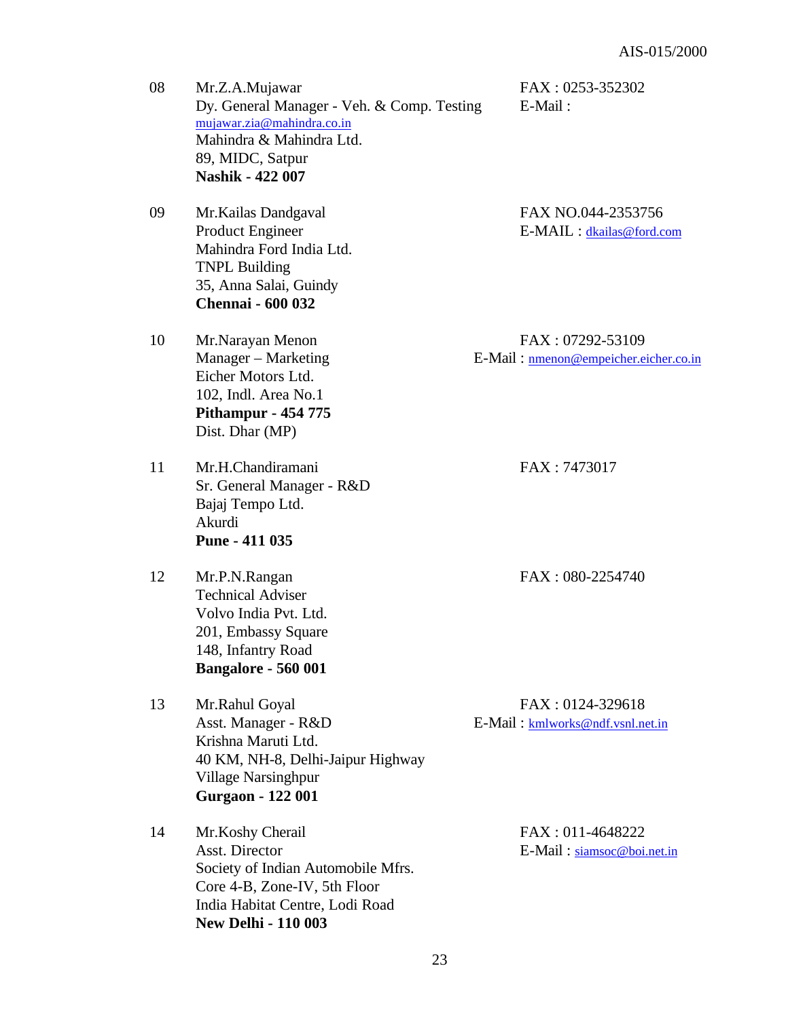| 08 | Mr.Z.A.Mujawar<br>Dy. General Manager - Veh. & Comp. Testing<br>mujawar.zia@mahindra.co.in<br>Mahindra & Mahindra Ltd.<br>89, MIDC, Satpur<br><b>Nashik - 422 007</b>            | FAX: 0253-352302<br>E-Mail:                               |
|----|----------------------------------------------------------------------------------------------------------------------------------------------------------------------------------|-----------------------------------------------------------|
| 09 | Mr. Kailas Dandgaval<br><b>Product Engineer</b><br>Mahindra Ford India Ltd.<br><b>TNPL Building</b><br>35, Anna Salai, Guindy<br><b>Chennai - 600 032</b>                        | FAX NO.044-2353756<br>E-MAIL : dkailas@ford.com           |
| 10 | Mr.Narayan Menon<br>Manager – Marketing<br>Eicher Motors Ltd.<br>102, Indl. Area No.1<br><b>Pithampur - 454 775</b><br>Dist. Dhar (MP)                                           | FAX: 07292-53109<br>E-Mail: nmenon@empeicher.eicher.co.in |
| 11 | Mr.H.Chandiramani<br>Sr. General Manager - R&D<br>Bajaj Tempo Ltd.<br>Akurdi<br>Pune - 411 035                                                                                   | FAX: 7473017                                              |
| 12 | Mr.P.N.Rangan<br><b>Technical Adviser</b><br>Volvo India Pvt. Ltd.<br>201, Embassy Square<br>148, Infantry Road<br><b>Bangalore - 560 001</b>                                    | FAX: 080-2254740                                          |
| 13 | Mr.Rahul Goyal<br>Asst. Manager - R&D<br>Krishna Maruti Ltd.<br>40 KM, NH-8, Delhi-Jaipur Highway<br><b>Village Narsinghpur</b><br><b>Gurgaon - 122 001</b>                      | FAX: 0124-329618<br>E-Mail: kmlworks@ndf.vsnl.net.in      |
| 14 | Mr.Koshy Cherail<br><b>Asst. Director</b><br>Society of Indian Automobile Mfrs.<br>Core 4-B, Zone-IV, 5th Floor<br>India Habitat Centre, Lodi Road<br><b>New Delhi - 110 003</b> | FAX: 011-4648222<br>E-Mail: siamsoc@boi.net.in            |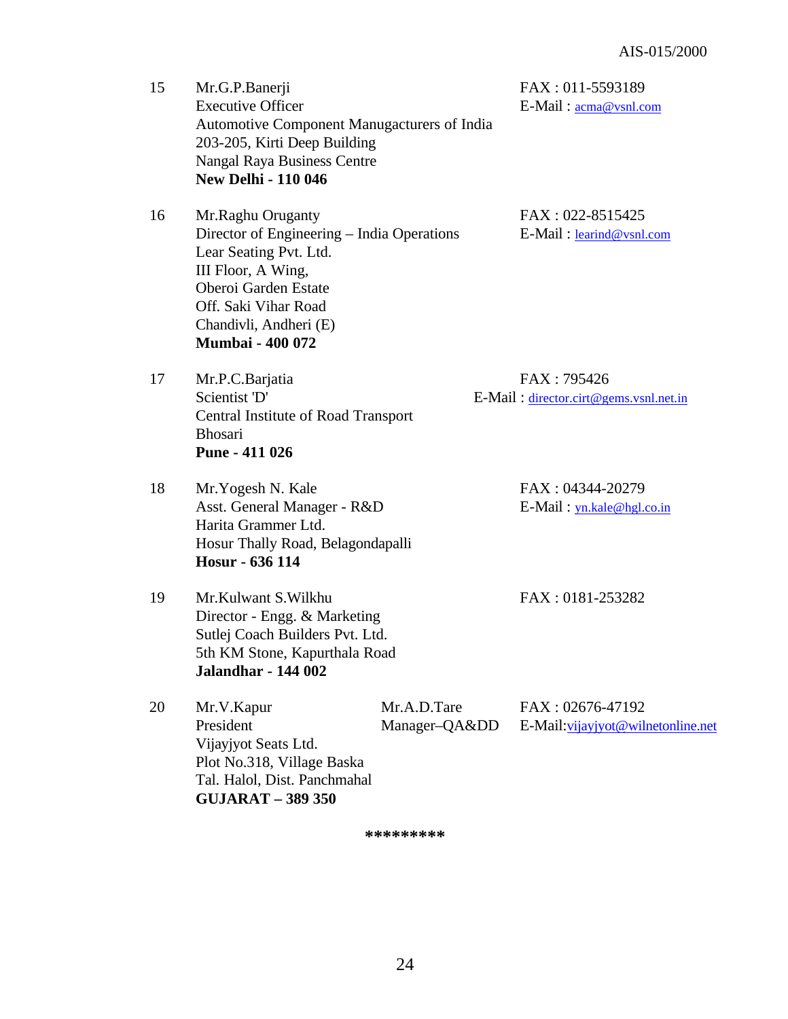15 Mr.G.P.Banerji FAX : 011-5593189 Executive Officer E-Mail :  $\frac{1}{\text{mean@vsnl.com}}$  Automotive Component Manugacturers of India 203-205, Kirti Deep Building Nangal Raya Business Centre  **New Delhi - 110 046** 16 Mr.Raghu Oruganty FAX : 022-8515425 Director of Engineering – India Operations E-Mail : learind@vsnl.com Lear Seating Pvt. Ltd. III Floor, A Wing, Oberoi Garden Estate Off. Saki Vihar Road Chandivli, Andheri (E)  **Mumbai - 400 072** 17 Mr.P.C.Barjatia FAX : 795426 Scientist 'D' E-Mail : director.cirt@gems.vsnl.net.in Central Institute of Road Transport Bhosari  **Pune - 411 026** 18 Mr. Yogesh N. Kale FAX : 04344-20279 Asst. General Manager - R&D E-Mail : yn.kale@hgl.co.in Harita Grammer Ltd. Hosur Thally Road, Belagondapalli  **Hosur - 636 114** 19 Mr.Kulwant S.Wilkhu FAX : 0181-253282 Director - Engg. & Marketing Sutlej Coach Builders Pvt. Ltd. 5th KM Stone, Kapurthala Road  **Jalandhar - 144 002** 20 Mr.V.Kapur Mr.A.D.Tare FAX : 02676-47192 President Manager–QA&DD E-Mail:vijayjyot@wilnetonline.net Vijayjyot Seats Ltd. Plot No.318, Village Baska Tal. Halol, Dist. Panchmahal **GUJARAT – 389 350**

**\*\*\*\*\*\*\*\*\***